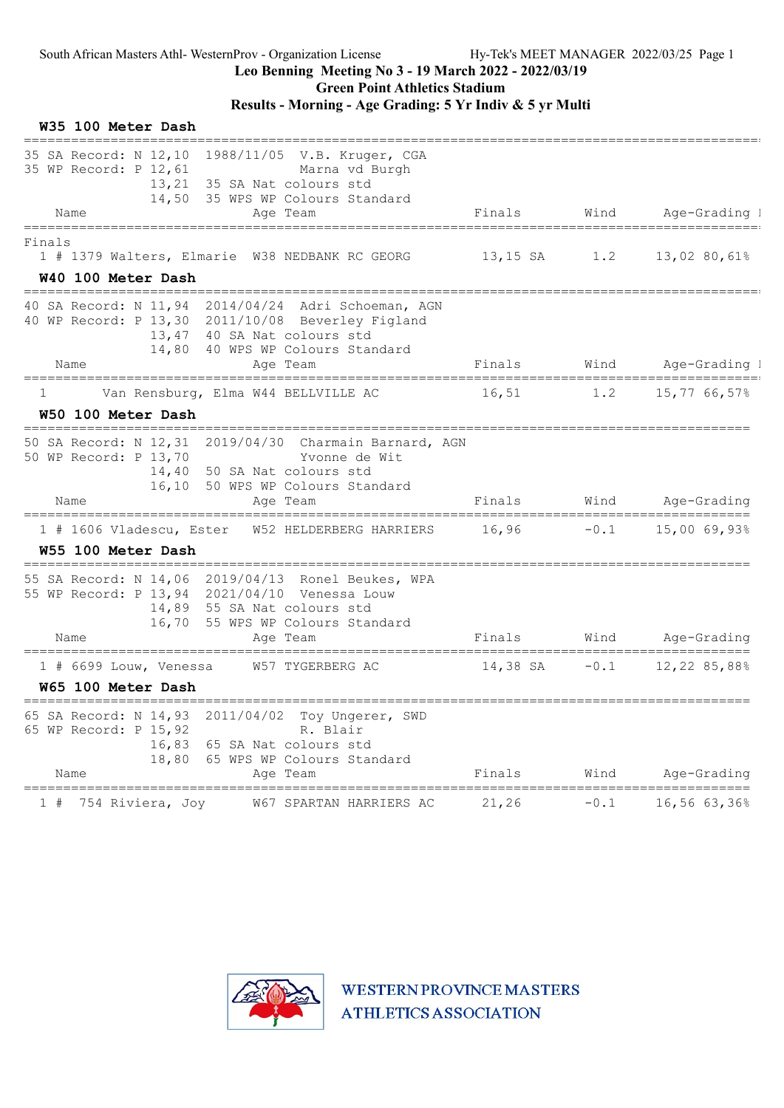### Leo Benning Meeting No 3 - 19 March 2022 - 2022/03/19

Green Point Athletics Stadium

## Results - Morning - Age Grading: 5 Yr Indiv & 5 yr Multi

| W35 100 Meter Dash                                                                                                                                                                                    |                      |        |                                              |
|-------------------------------------------------------------------------------------------------------------------------------------------------------------------------------------------------------|----------------------|--------|----------------------------------------------|
| 35 SA Record: N 12,10 1988/11/05 V.B. Kruger, CGA<br>35 WP Record: P 12,61<br>Marna vd Burgh<br>13,21<br>35 SA Nat colours std<br>14,50 35 WPS WP Colours Standard<br>Name<br>Age Team                | Finals Wind          |        | Age-Grading I                                |
| ====================<br>================<br>Finals<br>1 # 1379 Walters, Elmarie W38 NEDBANK RC GEORG<br>W40 100 Meter Dash                                                                            |                      |        | $13,15$ SA $1.2$ $13,02$ 80,61%              |
| 40 SA Record: N 11,94 2014/04/24 Adri Schoeman, AGN<br>40 WP Record: P 13,30 2011/10/08 Beverley Figland<br>40 SA Nat colours std<br>13,47<br>40 WPS WP Colours Standard<br>14,80<br>Name<br>Age Team | Finals               |        | Wind Age-Grading I                           |
| Van Rensburg, Elma W44 BELLVILLE AC<br>1<br>W50 100 Meter Dash                                                                                                                                        | 16,51                | 1.2    | 15,77 66,57%                                 |
| 50 SA Record: N 12,31 2019/04/30 Charmain Barnard, AGN<br>50 WP Record: P 13,70<br>Yvonne de Wit<br>14,40<br>50 SA Nat colours std<br>50 WPS WP Colours Standard<br>16,10<br>Name<br>Age Team         | Finals               |        | Wind Age-Grading                             |
| 1 # 1606 Vladescu, Ester W52 HELDERBERG HARRIERS<br>W55 100 Meter Dash                                                                                                                                | $16,96 -0.1$         |        | $15,00$ 69,93%                               |
| 55 SA Record: N 14,06 2019/04/13 Ronel Beukes, WPA<br>55 WP Record: P 13,94 2021/04/10 Venessa Louw<br>14,89<br>55 SA Nat colours std<br>16,70 55 WPS WP Colours Standard<br>Age Team<br>Name         | Finals               |        | Wind Age-Grading                             |
| W57 TYGERBERG AC<br>$1$ # 6699 Louw, Venessa<br>W65 100 Meter Dash                                                                                                                                    | 14,38 SA             |        | $-0.1$ 12,22 85,88%                          |
| 65 SA Record: N 14,93<br>2011/04/02<br>Toy Ungerer, SWD<br>65 WP Record: P 15,92<br>R. Blair<br>16,83<br>65 SA Nat colours std<br>65 WPS WP Colours Standard<br>18,80<br>Name<br>Age Team             | Finals               | Wind   | ------------------------<br>Age-Grading      |
| =============================<br>754 Riviera, Joy<br>W67 SPARTAN HARRIERS AC<br>1 #                                                                                                                   | ===========<br>21,26 | $-0.1$ | ============================<br>16,56 63,36% |

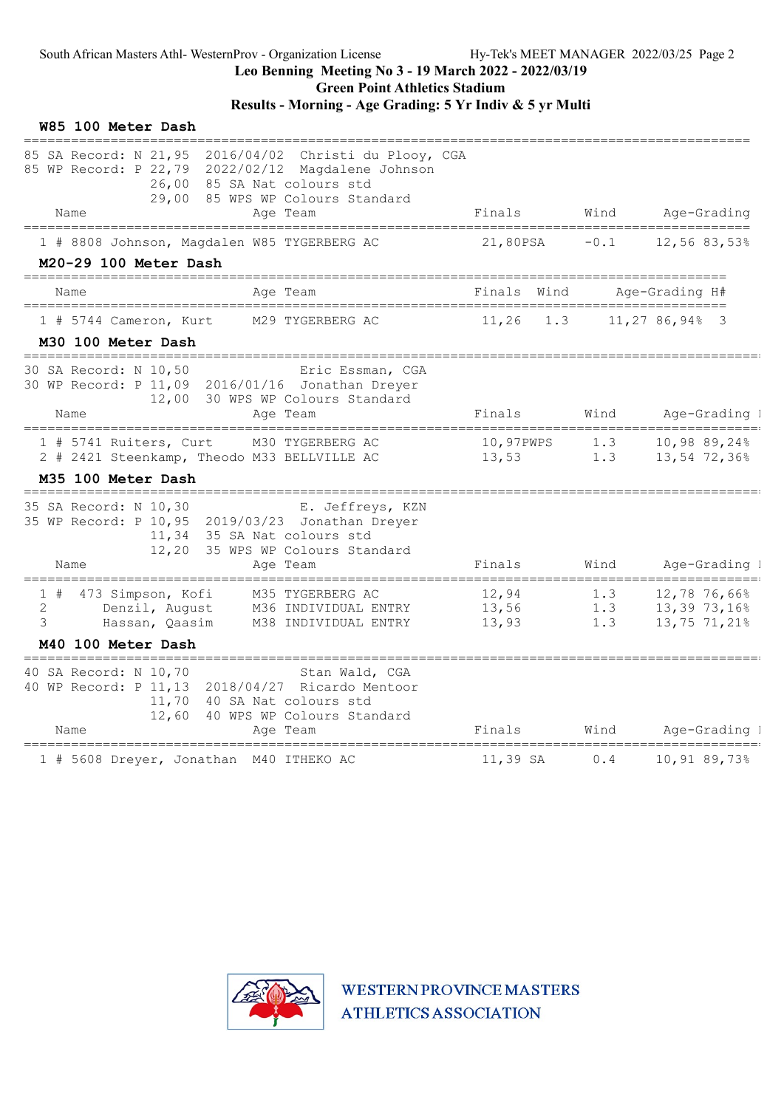Green Point Athletics Stadium

Results - Morning - Age Grading: 5 Yr Indiv & 5 yr Multi

| 85 SA Record: N 21,95 2016/04/02 Christi du Plooy, CGA<br>85 WP Record: P 22,79 2022/02/12 Magdalene Johnson<br>26,00 85 SA Nat colours std<br>29,00<br>85 WPS WP Colours Standard<br>Name<br>Finals<br>Wind Age-Grading<br>Age Team<br>1 # 8808 Johnson, Magdalen W85 TYGERBERG AC<br>21,80PSA<br>$-0.1$<br>12,56 83,53%<br>M20-29 100 Meter Dash<br>Finals Wind<br>Age-Grading H#<br>Name<br>Age Team<br>11,27 86,94% 3<br>1 # 5744 Cameron, Kurt<br>M29 TYGERBERG AC<br>11,26<br>1.3<br>M30 100 Meter Dash<br>=============<br>30 SA Record: N 10,50<br>Eric Essman, CGA<br>30 WP Record: P 11,09 2016/01/16 Jonathan Dreyer<br>12,00 30 WPS WP Colours Standard<br>Finals<br>Wind<br>Name<br>Age Team<br>10,97PWPS<br>1 # 5741 Ruiters, Curt<br>M30 TYGERBERG AC<br>1.3<br>1.3<br>2 # 2421 Steenkamp, Theodo M33 BELLVILLE AC<br>13,53<br>M35 100 Meter Dash<br>==============================<br>35 SA Record: N 10,30<br>E. Jeffreys, KZN<br>35 WP Record: P 10,95 2019/03/23 Jonathan Dreyer<br>11,34 35 SA Nat colours std<br>12,20 35 WPS WP Colours Standard<br>Finals<br>Wind<br>Name<br>Age Team<br>1 # 473 Simpson, Kofi<br>M35 TYGERBERG AC<br>12,94<br>1.3<br>2<br>Denzil, August<br>13,56<br>1.3<br>M36 INDIVIDUAL ENTRY<br>3<br>1.3<br>Hassan, Qaasim<br>M38 INDIVIDUAL ENTRY<br>13,93<br>M40 100 Meter Dash<br>=======================<br>40 SA Record: N 10,70<br>Stan Wald, CGA<br>40 WP Record: P 11,13 2018/04/27 Ricardo Mentoor<br>11,70 40 SA Nat colours std<br>12,60 40 WPS WP Colours Standard<br>Name<br>Finals<br>Wind<br>Age Team<br>========== | W85 100 Meter Dash |  |                                              |
|--------------------------------------------------------------------------------------------------------------------------------------------------------------------------------------------------------------------------------------------------------------------------------------------------------------------------------------------------------------------------------------------------------------------------------------------------------------------------------------------------------------------------------------------------------------------------------------------------------------------------------------------------------------------------------------------------------------------------------------------------------------------------------------------------------------------------------------------------------------------------------------------------------------------------------------------------------------------------------------------------------------------------------------------------------------------------------------------------------------------------------------------------------------------------------------------------------------------------------------------------------------------------------------------------------------------------------------------------------------------------------------------------------------------------------------------------------------------------------------------------------------------------------------------------------------------------------|--------------------|--|----------------------------------------------|
|                                                                                                                                                                                                                                                                                                                                                                                                                                                                                                                                                                                                                                                                                                                                                                                                                                                                                                                                                                                                                                                                                                                                                                                                                                                                                                                                                                                                                                                                                                                                                                                |                    |  |                                              |
|                                                                                                                                                                                                                                                                                                                                                                                                                                                                                                                                                                                                                                                                                                                                                                                                                                                                                                                                                                                                                                                                                                                                                                                                                                                                                                                                                                                                                                                                                                                                                                                |                    |  |                                              |
|                                                                                                                                                                                                                                                                                                                                                                                                                                                                                                                                                                                                                                                                                                                                                                                                                                                                                                                                                                                                                                                                                                                                                                                                                                                                                                                                                                                                                                                                                                                                                                                |                    |  |                                              |
|                                                                                                                                                                                                                                                                                                                                                                                                                                                                                                                                                                                                                                                                                                                                                                                                                                                                                                                                                                                                                                                                                                                                                                                                                                                                                                                                                                                                                                                                                                                                                                                |                    |  |                                              |
|                                                                                                                                                                                                                                                                                                                                                                                                                                                                                                                                                                                                                                                                                                                                                                                                                                                                                                                                                                                                                                                                                                                                                                                                                                                                                                                                                                                                                                                                                                                                                                                |                    |  |                                              |
|                                                                                                                                                                                                                                                                                                                                                                                                                                                                                                                                                                                                                                                                                                                                                                                                                                                                                                                                                                                                                                                                                                                                                                                                                                                                                                                                                                                                                                                                                                                                                                                |                    |  | Age-Grading I                                |
|                                                                                                                                                                                                                                                                                                                                                                                                                                                                                                                                                                                                                                                                                                                                                                                                                                                                                                                                                                                                                                                                                                                                                                                                                                                                                                                                                                                                                                                                                                                                                                                |                    |  | 10,98 89,24%<br>13,54 72,36%                 |
|                                                                                                                                                                                                                                                                                                                                                                                                                                                                                                                                                                                                                                                                                                                                                                                                                                                                                                                                                                                                                                                                                                                                                                                                                                                                                                                                                                                                                                                                                                                                                                                |                    |  | Age-Grading 1                                |
|                                                                                                                                                                                                                                                                                                                                                                                                                                                                                                                                                                                                                                                                                                                                                                                                                                                                                                                                                                                                                                                                                                                                                                                                                                                                                                                                                                                                                                                                                                                                                                                |                    |  | 12,78 76,66%<br>13,39 73,16%<br>13,75 71,21% |
|                                                                                                                                                                                                                                                                                                                                                                                                                                                                                                                                                                                                                                                                                                                                                                                                                                                                                                                                                                                                                                                                                                                                                                                                                                                                                                                                                                                                                                                                                                                                                                                |                    |  | Age-Grading I                                |
| 1 # 5608 Dreyer, Jonathan M40 ITHEKO AC<br>11,39 SA<br>0.4                                                                                                                                                                                                                                                                                                                                                                                                                                                                                                                                                                                                                                                                                                                                                                                                                                                                                                                                                                                                                                                                                                                                                                                                                                                                                                                                                                                                                                                                                                                     |                    |  | 10,91 89,73%                                 |

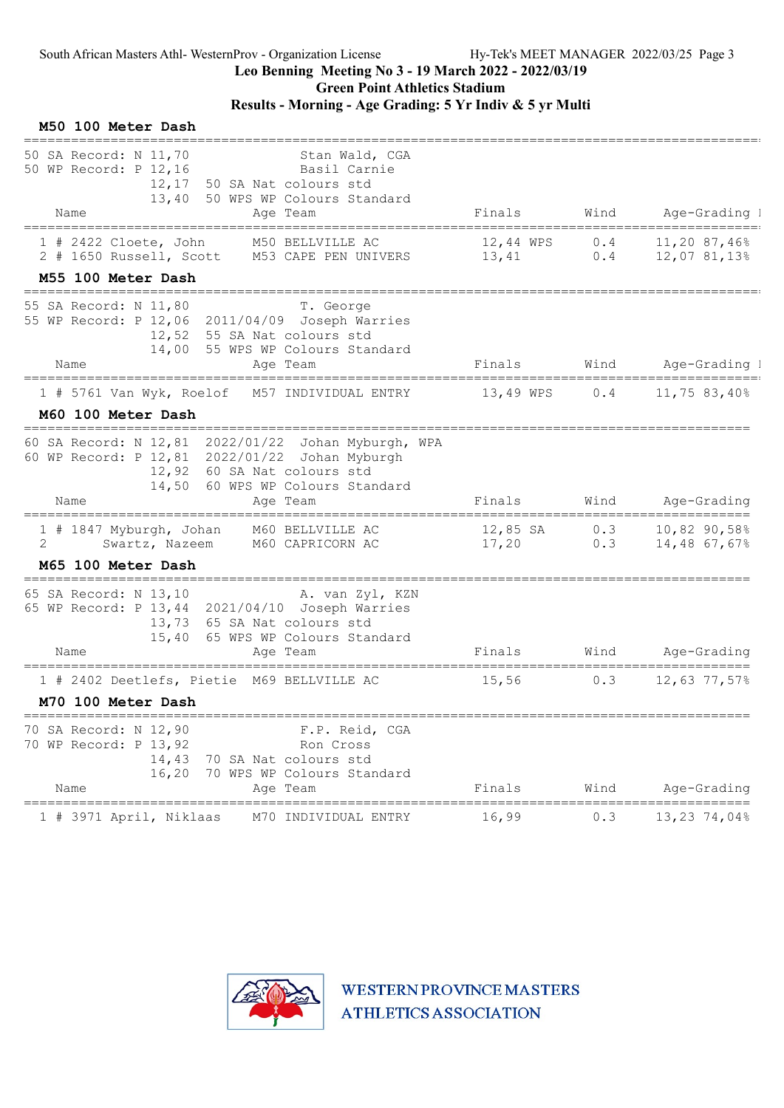Green Point Athletics Stadium

## Results - Morning - Age Grading: 5 Yr Indiv & 5 yr Multi

| M50 100 Meter Dash                                                                                                                                                                                                                                         |                                              |      |                                    |
|------------------------------------------------------------------------------------------------------------------------------------------------------------------------------------------------------------------------------------------------------------|----------------------------------------------|------|------------------------------------|
| 50 SA Record: N 11,70<br>Stan Wald, CGA<br>50 WP Record: P 12,16<br>Basil Carnie<br>50 SA Nat colours std<br>12,17<br>50 WPS WP Colours Standard<br>13,40<br>Age Team<br>Name                                                                              | Finals                                       | Wind | Age-Grading 1                      |
|                                                                                                                                                                                                                                                            |                                              |      |                                    |
| M50 BELLVILLE AC<br>$1$ # 2422 Cloete, John<br>2 # 1650 Russell, Scott M53 CAPE PEN UNIVERS 13,41                                                                                                                                                          | 12,44 WPS                                    | 0.4  | 11,20 87,46%<br>$0.4$ 12,07 81,13% |
| M55 100 Meter Dash<br>-------------------------------------                                                                                                                                                                                                |                                              |      |                                    |
| 55 SA Record: N 11,80<br>T. George<br>55 WP Record: P 12,06 2011/04/09 Joseph Warries<br>12,52 55 SA Nat colours std<br>55 WPS WP Colours Standard<br>14,00<br>Name<br>Age Team                                                                            | Finals                                       |      | Wind Age-Grading I                 |
| =====================================                                                                                                                                                                                                                      |                                              |      |                                    |
| $1$ # 5761 Van Wyk, Roelof<br>M57 INDIVIDUAL ENTRY                                                                                                                                                                                                         | 13,49 WPS                                    | 0.4  | 11,75 83,40%                       |
| M60 100 Meter Dash<br>===============================                                                                                                                                                                                                      |                                              |      |                                    |
| 60 SA Record: N 12,81 2022/01/22 Johan Myburgh, WPA<br>60 WP Record: P 12,81 2022/01/22 Johan Myburgh<br>12,92 60 SA Nat colours std<br>14,50 60 WPS WP Colours Standard<br>Name<br>Age Team                                                               | Finals                                       | Wind | Age-Grading                        |
| 1 # 1847 Myburgh, Johan<br>M60 BELLVILLE AC<br>2<br>Swartz, Nazeem<br>M60 CAPRICORN AC                                                                                                                                                                     | 12,85 SA<br>17,20                            | 0.3  | $0.3$ 10,82 90,58%<br>14,48 67,67% |
| M65 100 Meter Dash<br>===========                                                                                                                                                                                                                          |                                              |      |                                    |
| 65 SA Record: N 13,10<br>A. van Zyl, KZN<br>65 WP Record: P 13,44 2021/04/10 Joseph Warries<br>13,73 65 SA Nat colours std<br>65 WPS WP Colours Standard<br>15,40<br>Name<br>Age Team                                                                      | Finals                                       | Wind | Age-Grading                        |
| 1 # 2402 Deetlefs, Pietie M69 BELLVILLE AC                                                                                                                                                                                                                 | 15,56                                        | 0.3  | 12,63 77,57%                       |
| M70 100 Meter Dash                                                                                                                                                                                                                                         |                                              |      |                                    |
| =====================================<br>-----------------------------------<br>70 SA Record: N 12,90<br>F.P. Reid, CGA<br>70 WP Record: P 13,92<br>Ron Cross<br>14,43<br>70 SA Nat colours std<br>16,20<br>70 WPS WP Colours Standard<br>Name<br>Age Team | Finals                                       | Wind | Age-Grading                        |
| 1 # 3971 April, Niklaas<br>M70 INDIVIDUAL ENTRY                                                                                                                                                                                                            | ===================================<br>16,99 | 0.3  | _________<br>13,23 74,04%          |
|                                                                                                                                                                                                                                                            |                                              |      |                                    |

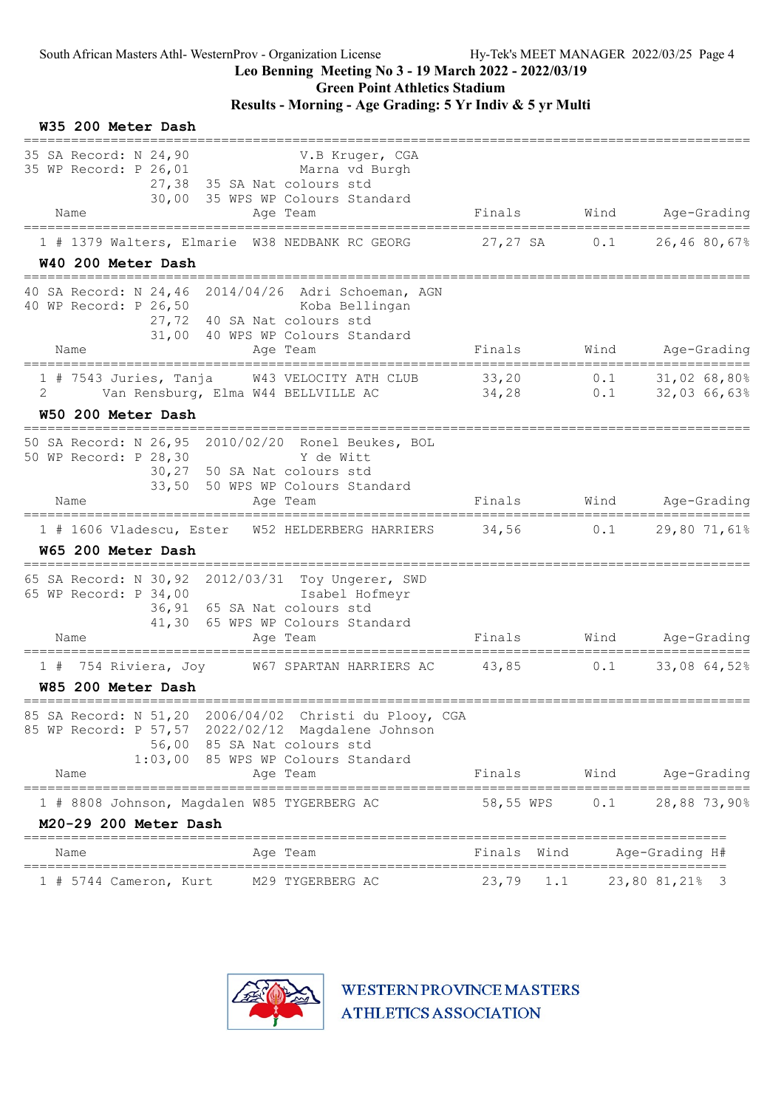# Leo Benning Meeting No 3 - 19 March 2022 - 2022/03/19

Green Point Athletics Stadium

## Results - Morning - Age Grading: 5 Yr Indiv & 5 yr Multi

| W35 200 Meter Dash                                                                                                                                                                                    |                                         |      |                                            |
|-------------------------------------------------------------------------------------------------------------------------------------------------------------------------------------------------------|-----------------------------------------|------|--------------------------------------------|
| 35 SA Record: N 24,90<br>V.B Kruger, CGA<br>35 WP Record: P 26,01<br>Marna vd Burgh<br>27,38 35 SA Nat colours std<br>30,00 35 WPS WP Colours Standard                                                |                                         |      |                                            |
| Name<br>Age Team                                                                                                                                                                                      | Finals                                  | Wind | Age-Grading                                |
| 1 # 1379 Walters, Elmarie W38 NEDBANK RC GEORG<br>W40 200 Meter Dash                                                                                                                                  | 27,27 SA 0.1                            |      | 26,46 80,67%                               |
| 40 SA Record: N 24,46 2014/04/26 Adri Schoeman, AGN<br>40 WP Record: P 26,50<br>Koba Bellingan<br>27,72 40 SA Nat colours std<br>31,00 40 WPS WP Colours Standard<br>Name<br>Age Team                 | Finals                                  |      | Wind Age-Grading                           |
| ======================<br>$1$ # 7543 Juries, Tanja<br>W43 VELOCITY ATH CLUB<br>2<br>Van Rensburg, Elma W44 BELLVILLE AC<br>W50 200 Meter Dash                                                         | 33,20<br>34,28                          |      | $0.1$ $31,02,68,80%$<br>$0.1$ 32,03 66,63% |
| 50 SA Record: N 26,95 2010/02/20 Ronel Beukes, BOL<br>50 WP Record: P 28,30<br>Y de Witt<br>30,27 50 SA Nat colours std<br>33,50 50 WPS WP Colours Standard<br>Name<br>Age Team                       | Finals                                  | Wind | Age-Grading                                |
| 1 # 1606 Vladescu, Ester W52 HELDERBERG HARRIERS<br>W65 200 Meter Dash                                                                                                                                | $34,56$ 0.1                             |      | 29,80 71,61%                               |
| 65 SA Record: N 30,92 2012/03/31 Toy Ungerer, SWD<br>65 WP Record: P 34,00<br>Isabel Hofmeyr<br>36,91 65 SA Nat colours std<br>41,30 65 WPS WP Colours Standard<br>Name<br>Age Team                   | Finals                                  | Wind | Age-Grading                                |
| 754 Riviera, Joy<br>W67 SPARTAN HARRIERS AC<br>1#<br>W85 200 Meter Dash                                                                                                                               | 43,85                                   | 0.1  | 33,08 64,52%                               |
| 85 SA Record: N 51,20 2006/04/02 Christi du Plooy, CGA<br>85 WP Record: P 57,57 2022/02/12 Magdalene Johnson<br>56,00 85 SA Nat colours std<br>1:03,00 85 WPS WP Colours Standard<br>Name<br>Age Team | Finals                                  | Wind | Age-Grading                                |
| -----------------<br>1 # 8808 Johnson, Magdalen W85 TYGERBERG AC<br>M20-29 200 Meter Dash                                                                                                             | --------------------------<br>58,55 WPS | 0.1  | 28,88 73,90%                               |
| Age Team<br>Name                                                                                                                                                                                      | Finals<br>Wind                          |      | Age-Grading H#                             |
| M29 TYGERBERG AC<br>$1$ # 5744 Cameron, Kurt                                                                                                                                                          | 23,79<br>1.1                            |      | 23,80 81,21% 3                             |

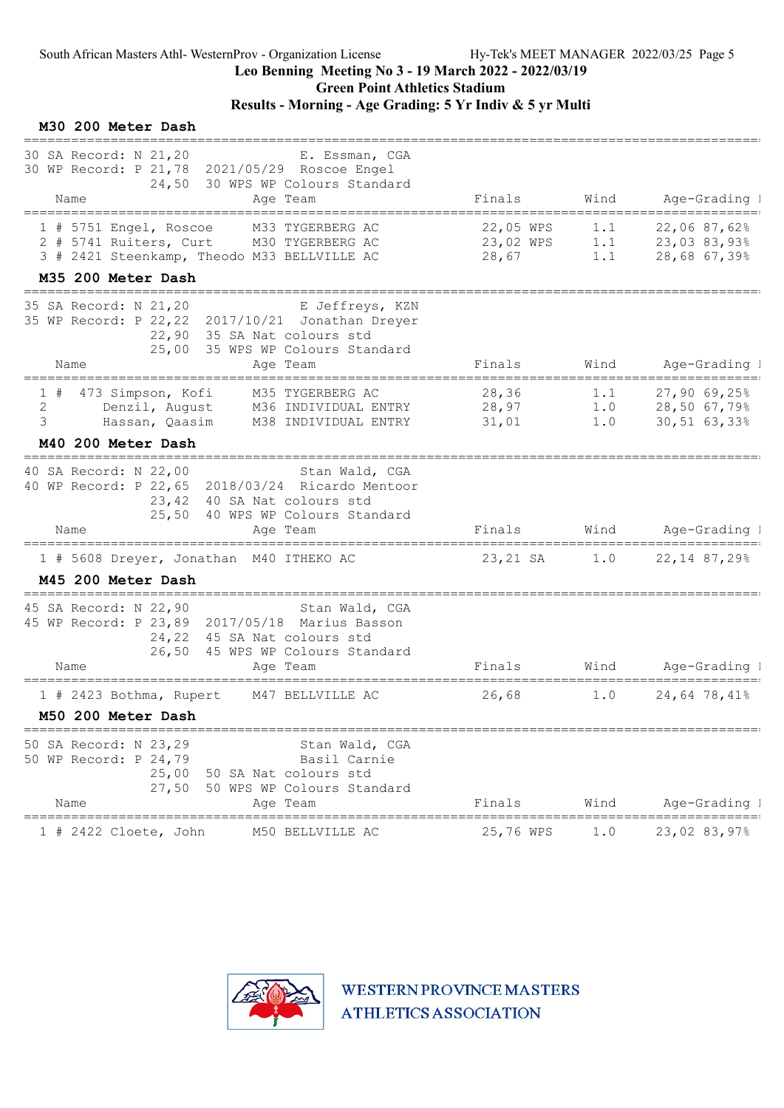M30 200 Meter Dash

### Leo Benning Meeting No 3 - 19 March 2022 - 2022/03/19

Green Point Athletics Stadium

### Results - Morning - Age Grading: 5 Yr Indiv & 5 yr Multi

#### =============================================================================================== 30 SA Record: N 21,20 E. Essman, CGA 30 WP Record: P 21,78 2021/05/29 Roscoe Engel 24,50 30 WPS WP Colours Standard Name and Age Team Rinals Wind Age-Grading I =============================================================================================== 1 # 5751 Engel, Roscoe M33 TYGERBERG AC 22,05 WPS 1.1 22,06 87,62% 3 2 # 5741 Ruiters, Curt M30 TYGERBERG AC 23,02 WPS 1.1 23,03 83,93% 3 3 # 2421 Steenkamp, Theodo M33 BELLVILLE AC M35 200 Meter Dash =============================================================================================== 35 SA Record: N 21,20 E Jeffreys, KZN 35 WP Record: P 22,22 2017/10/21 Jonathan Dreyer 22,90 35 SA Nat colours std 25,00 35 WPS WP Colours Standard Name Age Team Finals Wind Age-Grading I =============================================================================================== 1 # 473 Simpson, Kofi M35 TYGERBERG AC 28,36 1.1 27,90 69,25% 3 2 Denzil, August M36 INDIVIDUAL ENTRY 28,97 1.0 28,50 67,79% 2 3 Hassan, Qaasim M38 INDIVIDUAL ENTRY 31,01 1.0 30,51 63,33% 2 M40 200 Meter Dash =============================================================================================== 40 SA Record: N 22,00 Stan Wald, CGA 40 WP Record: P 22,65 2018/03/24 Ricardo Mentoor 23,42 40 SA Nat colours std 25,50 40 WPS WP Colours Standard Name **Age Team** Age Team Finals Wind Age-Grading I =============================================================================================== 1 # 5608 Dreyer, Jonathan M40 ITHEKO AC 23,21 SA 1.0 22,14 87,29% 2 M45 200 Meter Dash =============================================================================================== 45 SA Record: N 22,90 Stan Wald, CGA 45 WP Record: P 23,89 2017/05/18 Marius Basson 24,22 45 SA Nat colours std 26,50 45 WPS WP Colours Standard Name Age Team Finals Wind Age-Grading H# =============================================================================================== 1 # 2423 Bothma, Rupert M47 BELLVILLE AC 26,68 1.0 24,64 78,41% 2 M50 200 Meter Dash =============================================================================================== 50 SA Record: N 23,29 Stan Wald, CGA 50 WP Record: P 24,79 Basil Carnie 25,00 50 SA Nat colours std 27,50 50 WPS WP Colours Standard Name Age Team Finals Wind Age-Grading I =============================================================================================== 1 # 2422 Cloete, John M50 BELLVILLE AC

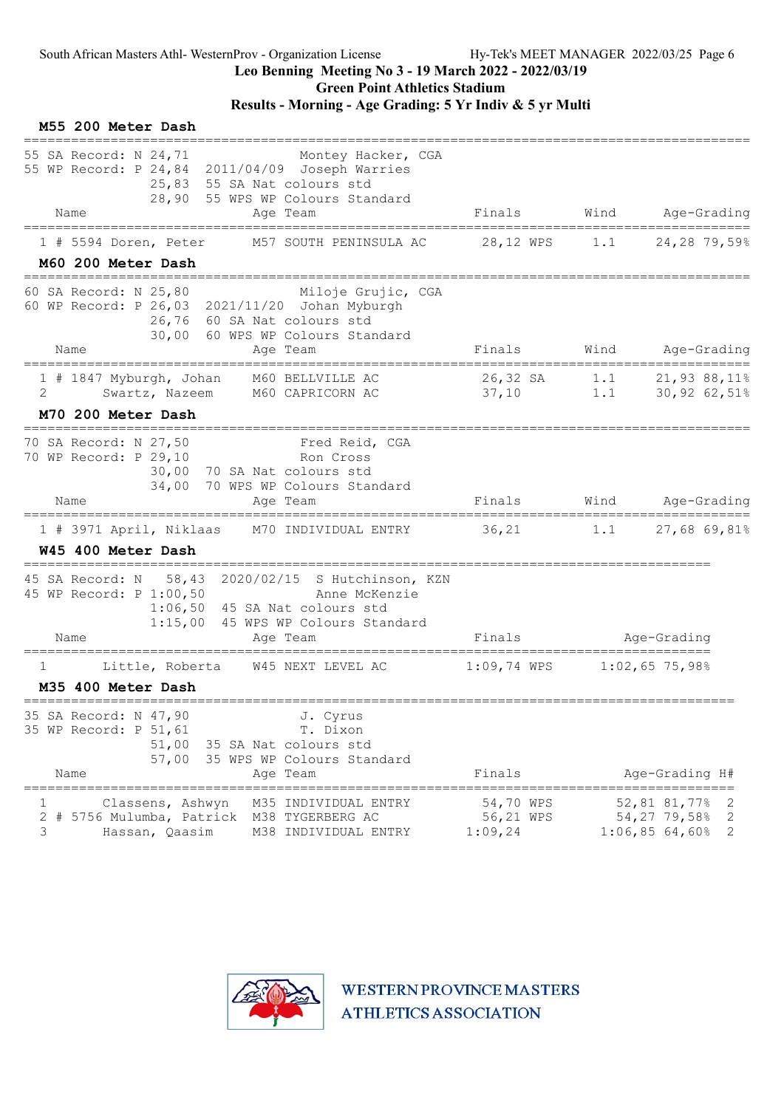## Leo Benning Meeting No 3 - 19 March 2022 - 2022/03/19

Green Point Athletics Stadium

## Results - Morning - Age Grading: 5 Yr Indiv & 5 yr Multi

| M55 200 Meter Dash                                                                                                                                                                             |                                   |      |                                                                             |
|------------------------------------------------------------------------------------------------------------------------------------------------------------------------------------------------|-----------------------------------|------|-----------------------------------------------------------------------------|
| 55 SA Record: N 24,71<br>Montey Hacker, CGA<br>55 WP Record: P 24,84 2011/04/09 Joseph Warries<br>25,83 55 SA Nat colours std<br>28,90 55 WPS WP Colours Standard<br>Name<br>Age Team          | Finals                            | Wind | Age-Grading                                                                 |
| $1$ # 5594 Doren, Peter<br>M57 SOUTH PENINSULA AC                                                                                                                                              | 28,12 WPS                         | 1.1  | 24,28 79,59%                                                                |
| M60 200 Meter Dash                                                                                                                                                                             |                                   |      |                                                                             |
| 60 SA Record: N 25,80<br>Miloje Grujic, CGA<br>60 WP Record: P 26,03 2021/11/20 Johan Myburgh<br>26,76 60 SA Nat colours std<br>30,00 60 WPS WP Colours Standard<br>Name<br>Age Team           | Finals                            |      | Wind Age-Grading                                                            |
| 1 # 1847 Myburgh, Johan M60 BELLVILLE AC                                                                                                                                                       |                                   |      |                                                                             |
| Swartz, Nazeem M60 CAPRICORN AC<br>2                                                                                                                                                           | 37,10                             |      | 26,32 SA 1.1 21,93 88,11%<br>$1.1$ $30,92$ $62,51\%$                        |
| M70 200 Meter Dash                                                                                                                                                                             |                                   |      |                                                                             |
| 70 SA Record: N 27,50<br>Fred Reid, CGA<br>70 WP Record: P 29,10<br>Ron Cross<br>30,00 70 SA Nat colours std<br>34,00 70 WPS WP Colours Standard<br>Name<br>Aqe Team                           | Finals                            |      | Wind Age-Grading                                                            |
| 1 # 3971 April, Niklaas M70 INDIVIDUAL ENTRY                                                                                                                                                   | $36,21$ 1.1                       |      | 27,68 69,81%                                                                |
| W45 400 Meter Dash                                                                                                                                                                             |                                   |      |                                                                             |
| 58,43 2020/02/15 S Hutchinson, KZN<br>45 SA Record: N<br>45 WP Record: P 1:00,50<br>Anne McKenzie<br>$1:06,50$ 45 SA Nat colours std<br>1:15,00 45 WPS WP Colours Standard<br>Name<br>Age Team | Finals                            |      | Age-Grading                                                                 |
| W45 NEXT LEVEL AC<br>Little, Roberta<br>1                                                                                                                                                      | $1:09,74$ WPS                     |      | $1:02,65$ 75,98%                                                            |
| M35 400 Meter Dash                                                                                                                                                                             |                                   |      |                                                                             |
| ============<br>35 SA Record: N 47,90<br>J. Cyrus<br>35 WP Record: P 51,61<br>T. Dixon<br>51,00<br>35 SA Nat colours std<br>35 WPS WP Colours Standard<br>57,00<br>Name<br>Age Team            | Finals                            |      | Age-Grading H#                                                              |
| Classens, Ashwyn<br>M35 INDIVIDUAL ENTRY<br># 5756 Mulumba, Patrick<br>M38 TYGERBERG AC<br>2<br>3<br>Hassan, Qaasim<br>M38 INDIVIDUAL ENTRY                                                    | 54,70 WPS<br>56,21 WPS<br>1:09,24 |      | ========<br>52,81 81,77%<br>2<br>54,27 79,58%<br>2<br>$1:06,85$ 64,60%<br>2 |

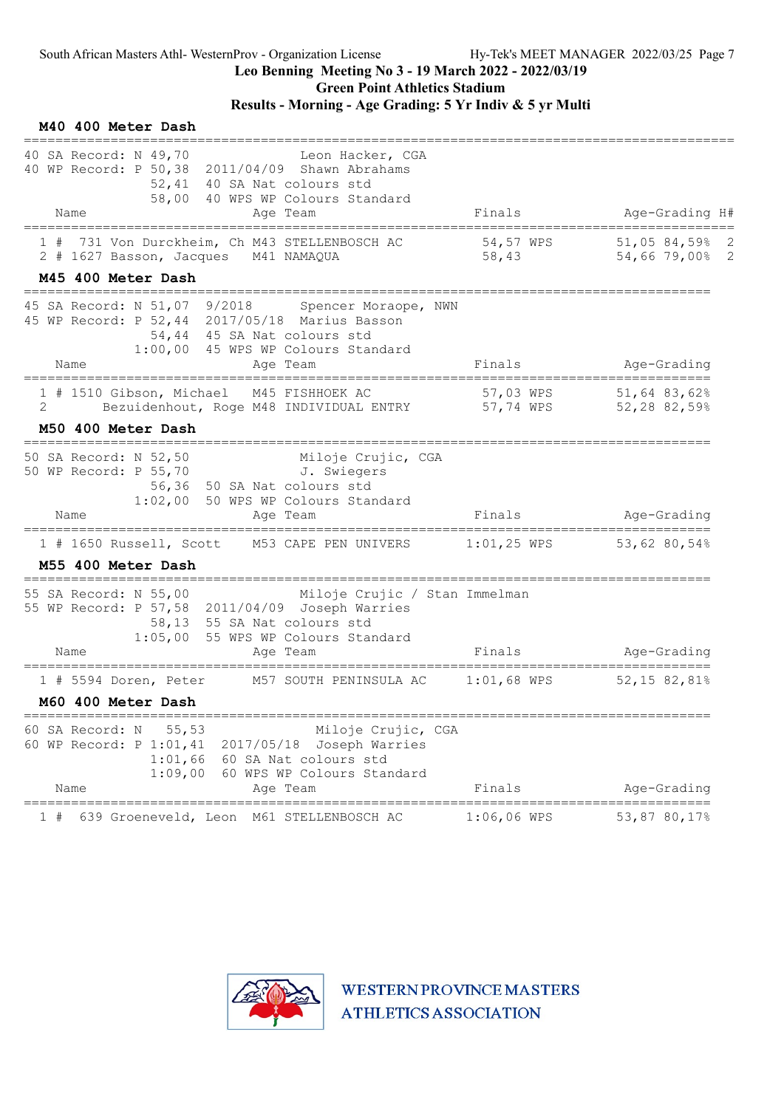Green Point Athletics Stadium

### Results - Morning - Age Grading: 5 Yr Indiv & 5 yr Multi

| M40 400 Meter Dash                                                                                                                                                                                       |                                                 |                                |
|----------------------------------------------------------------------------------------------------------------------------------------------------------------------------------------------------------|-------------------------------------------------|--------------------------------|
| 40 SA Record: N 49,70<br>Leon Hacker, CGA<br>40 WP Record: P 50,38 2011/04/09 Shawn Abrahams<br>52,41 40 SA Nat colours std<br>58,00 40 WPS WP Colours Standard<br>Age Team<br>Name                      | Finals                                          | Age-Grading H#                 |
| 731 Von Durckheim, Ch M43 STELLENBOSCH AC<br>2 # 1627 Basson, Jacques M41 NAMAQUA                                                                                                                        | 54,57 WPS<br>58,43                              | 51,0584,5982<br>54,66 79,00% 2 |
| M45 400 Meter Dash                                                                                                                                                                                       |                                                 |                                |
| 45 SA Record: N 51,07 9/2018 Spencer Moraope, NWN<br>45 WP Record: P 52,44 2017/05/18 Marius Basson<br>54,44 45 SA Nat colours std<br>1:00,00 45 WPS WP Colours Standard<br>Name<br>Age Team             | Finals                                          | Age-Grading                    |
| 1 # 1510 Gibson, Michael M45 FISHHOEK AC<br>Bezuidenhout, Roge M48 INDIVIDUAL ENTRY 57,74 WPS 52,28 82,59%<br>2                                                                                          |                                                 | 57,03 WPS 51,64 83,62%         |
| M50 400 Meter Dash                                                                                                                                                                                       |                                                 |                                |
| 50 SA Record: N 52,50 Miloje Cruj<br>50 WP Record: P 55,70 J. Swiegers<br>Miloje Crujic, CGA<br>56,36 50 SA Nat colours std<br>1:02,00 50 WPS WP Colours Standard                                        |                                                 |                                |
| Age Team<br>Name<br>============                                                                                                                                                                         | Finals<br>-==================================== | Age-Grading                    |
| 1 # 1650 Russell, Scott M53 CAPE PEN UNIVERS 1:01,25 WPS 53,62 80,54%<br>M55 400 Meter Dash                                                                                                              |                                                 |                                |
| 55 SA Record: N 55,00<br>Miloje Crujic / Stan Immelman<br>55 WP Record: P 57,58 2011/04/09 Joseph Warries<br>58,13 55 SA Nat colours std<br>1:05,00 55 WPS WP Colours Standard                           |                                                 |                                |
| Age Team<br>Name                                                                                                                                                                                         | Finals                                          | Age-Grading                    |
| M57 SOUTH PENINSULA AC<br>$1$ # 5594 Doren, Peter<br>M60 400 Meter Dash                                                                                                                                  | $1:01$ ,68 WPS                                  | 52,15 82,81%                   |
| 55, 53<br>Miloje Crujic, CGA<br>60 SA Record: N<br>Joseph Warries<br>60 WP Record: P 1:01,41 2017/05/18<br>1:01,66<br>60 SA Nat colours std<br>1:09,00<br>60 WPS WP Colours Standard<br>Name<br>Age Team | Finals                                          | Age-Grading                    |
| 639 Groeneveld, Leon<br>M61 STELLENBOSCH AC                                                                                                                                                              | ===================<br>$1:06,06$ WPS            | 53,87 80,17%                   |

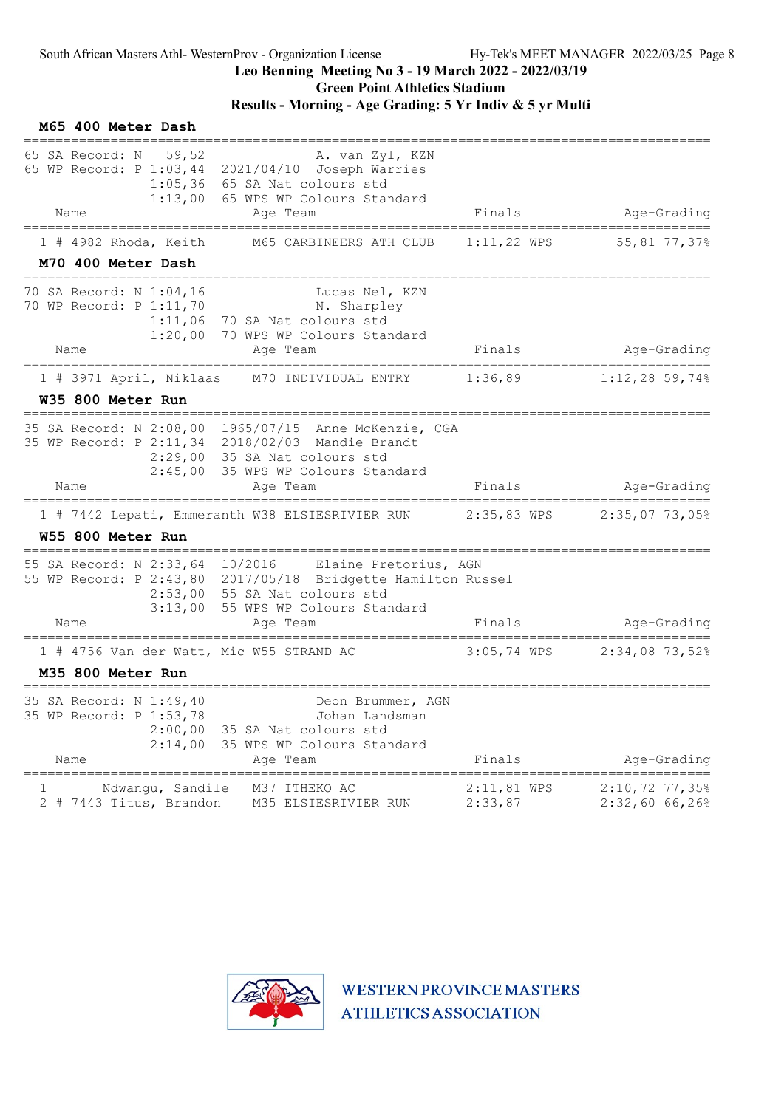## Results - Morning - Age Grading: 5 Yr Indiv & 5 yr Multi

| M65 400 Meter Dash                                                               |                                                                                                                                                                                              |                          |                                        |
|----------------------------------------------------------------------------------|----------------------------------------------------------------------------------------------------------------------------------------------------------------------------------------------|--------------------------|----------------------------------------|
| 65 SA Record: N 59,52                                                            | A. van Zyl, KZN<br>65 WP Record: P 1:03,44 2021/04/10 Joseph Warries<br>$1:05,36$ 65 SA Nat colours std<br>1:13,00 65 WPS WP Colours Standard                                                |                          |                                        |
| Name                                                                             | Age Team                                                                                                                                                                                     | Finals                   | Age-Grading                            |
| $1$ # 4982 Rhoda, Keith                                                          | M65 CARBINEERS ATH CLUB                                                                                                                                                                      |                          | $1:11,22$ WPS 55,81 77,37%             |
| M70 400 Meter Dash                                                               |                                                                                                                                                                                              |                          |                                        |
| 70 SA Record: N 1:04,16<br>70 WP Record: P 1:11,70                               | Lucas Nel, KZN<br>N. Sharpley<br>$1:11,06$ 70 SA Nat colours std<br>1:20,00 70 WPS WP Colours Standard                                                                                       |                          |                                        |
| Name                                                                             | Age Team                                                                                                                                                                                     | Finals                   | Age-Grading<br>======================= |
| 1 # 3971 April, Niklaas                                                          | M70 INDIVIDUAL ENTRY                                                                                                                                                                         | 1:36,89                  | $1:12,28$ 59,74%                       |
| W35 800 Meter Run<br>=============================                               |                                                                                                                                                                                              |                          |                                        |
|                                                                                  | 35 SA Record: N 2:08,00 1965/07/15 Anne McKenzie, CGA<br>35 WP Record: P 2:11,34 2018/02/03 Mandie Brandt<br>2:29,00 35 SA Nat colours std                                                   |                          |                                        |
| Name                                                                             | 2:45,00 35 WPS WP Colours Standard<br>Age Team                                                                                                                                               | Finals                   | Age-Grading                            |
| =================================                                                | =========================<br>1 # 7442 Lepati, Emmeranth W38 ELSIESRIVIER RUN 2:35,83 WPS 2:35,07 73,05%                                                                                      | =================        |                                        |
| W55 800 Meter Run                                                                |                                                                                                                                                                                              |                          |                                        |
|                                                                                  | 55 SA Record: N 2:33,64 10/2016 Elaine Pretorius, AGN<br>55 WP Record: P 2:43,80 2017/05/18 Bridgette Hamilton Russel<br>2:53,00 55 SA Nat colours std<br>3:13,00 55 WPS WP Colours Standard |                          |                                        |
| Name                                                                             | Age Team                                                                                                                                                                                     | Finals                   | Age-Grading                            |
| 1 # 4756 Van der Watt, Mic W55 STRAND AC                                         |                                                                                                                                                                                              |                          | 3:05,74 WPS 2:34,08 73,52%             |
| M35 800 Meter Run                                                                |                                                                                                                                                                                              |                          |                                        |
| 35 SA Record: N 1:49,40<br>35 WP Record: P 1:53,78<br>2:00,00<br>2:14,00<br>Name | Deon Brummer, AGN<br>Johan Landsman<br>35 SA Nat colours std<br>35 WPS WP Colours Standard<br>Age Team                                                                                       | Finals                   | Age-Grading                            |
|                                                                                  |                                                                                                                                                                                              |                          |                                        |
| Ndwangu, Sandile<br>1<br>7443 Titus, Brandon<br>2#                               | M37 ITHEKO AC<br>M35 ELSIESRIVIER RUN                                                                                                                                                        | $2:11,81$ WPS<br>2:33,87 | $2:10,72$ 77,35%<br>2:32,6066,26%      |

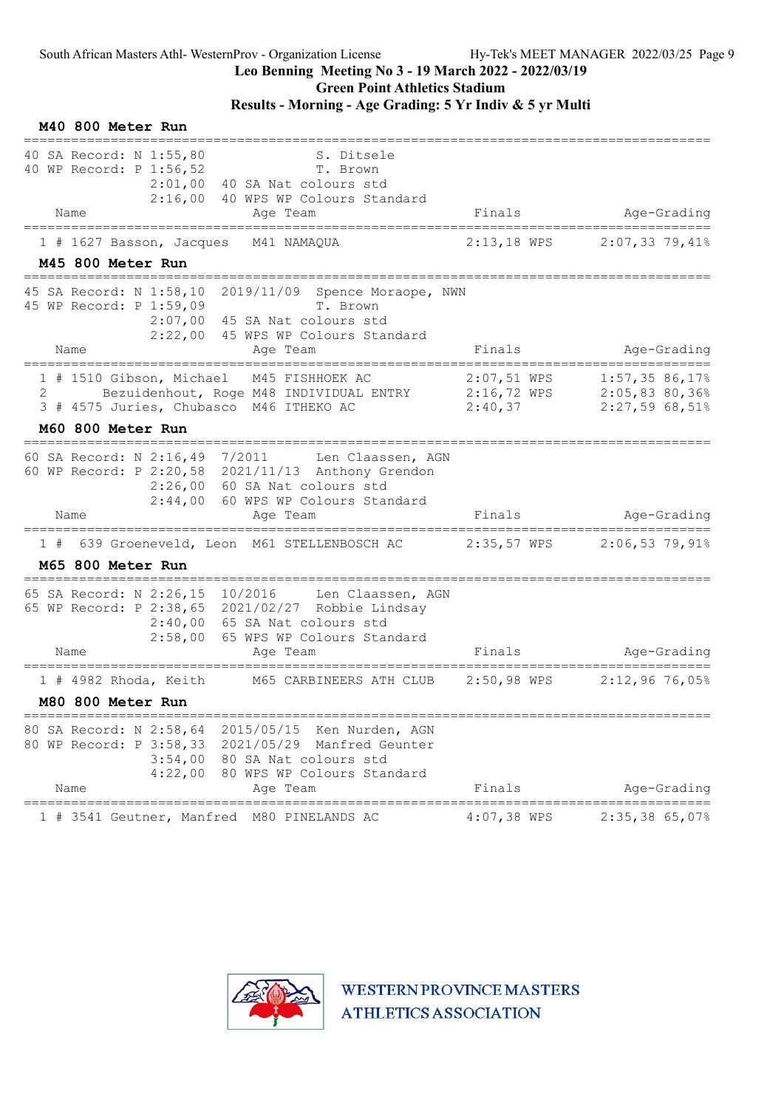## Leo Benning Meeting No 3 - 19 March 2022 - 2022/03/19

Green Point Athletics Stadium

## Results - Morning - Age Grading: 5 Yr Indiv & 5 yr Multi

| M40 800 Meter Run                                                                                                                                                                                                                        |                                                                                                                                  |
|------------------------------------------------------------------------------------------------------------------------------------------------------------------------------------------------------------------------------------------|----------------------------------------------------------------------------------------------------------------------------------|
| 40 SA Record: N 1:55,80<br>40 WP Record: P 1:56,52<br>T. Brown<br>$2:01,00$ 40 SA Nat colours std<br>2:16,00 40 WPS WP Colours Standard<br>Age Team<br>Name                                                                              | S. Ditsele<br>Age-Grading<br>Finals                                                                                              |
| M41 NAMAQUA<br>$1$ # 1627 Basson, Jacques                                                                                                                                                                                                | $2:13,18$ WPS<br>$2:07,33$ 79,41%                                                                                                |
| M45 800 Meter Run                                                                                                                                                                                                                        |                                                                                                                                  |
| 2019/11/09 Spence Moraope, NWN<br>45 SA Record: N 1:58,10<br>45 WP Record: P 1:59,09<br>T. Brown<br>$2:07,00$ 45 SA Nat colours std<br>2:22,00 45 WPS WP Colours Standard                                                                |                                                                                                                                  |
| Name<br>Age Team                                                                                                                                                                                                                         | Age-Grading<br>Finals<br>=======================                                                                                 |
| 1 # 1510 Gibson, Michael M45 FISHHOEK AC<br>2<br>3 # 4575 Juries, Chubasco M46 ITHEKO AC                                                                                                                                                 | $2:07,51$ WPS<br>1:57,3586,17%<br>Bezuidenhout, Roge M48 INDIVIDUAL ENTRY 2:16,72 WPS 2:05,83 80,36%<br>2:27,5968,51%<br>2:40,37 |
| M60 800 Meter Run<br>=================================                                                                                                                                                                                   |                                                                                                                                  |
| 60 SA Record: N 2:16,49 7/2011<br>60 WP Record: P 2:20,58 2021/11/13 Anthony Grendon<br>2:26,00 60 SA Nat colours std<br>2:44,00 60 WPS WP Colours Standard<br>Age Team<br>Name                                                          | Len Claassen, AGN<br>Finals<br>Age-Grading                                                                                       |
|                                                                                                                                                                                                                                          | ===================<br>639 Groeneveld, Leon M61 STELLENBOSCH AC $2:35,57$ WPS $2:06,53$ 79,91%                                   |
| 1#<br>M65 800 Meter Run                                                                                                                                                                                                                  |                                                                                                                                  |
| 65 SA Record: N 2:26,15 10/2016 Len Claassen, AGN<br>65 WP Record: P 2:38,65 2021/02/27 Robbie Lindsay<br>2:40,00 65 SA Nat colours std<br>2:58,00<br>65 WPS WP Colours Standard<br>Name<br>Age Team                                     | Finals<br>Age-Grading<br>=================                                                                                       |
| M65 CARBINEERS ATH CLUB<br>$1$ # 4982 Rhoda, Keith                                                                                                                                                                                       | $2:50,98$ WPS<br>$2:12,96$ 76,05%                                                                                                |
| M80 800 Meter Run                                                                                                                                                                                                                        |                                                                                                                                  |
| ==============================<br>80 SA Record: N 2:58,64 2015/05/15 Ken Nurden, AGN<br>80 WP Record: P 3:58,33 2021/05/29 Manfred Geunter<br>3:54,00 80 SA Nat colours std<br>4:22,00<br>80 WPS WP Colours Standard<br>Name<br>Age Team | Finals<br>Age-Grading                                                                                                            |
| 1 # 3541 Geutner, Manfred M80 PINELANDS AC                                                                                                                                                                                               | $4:07,38$ WPS<br>$2:35,38$ 65,07%                                                                                                |

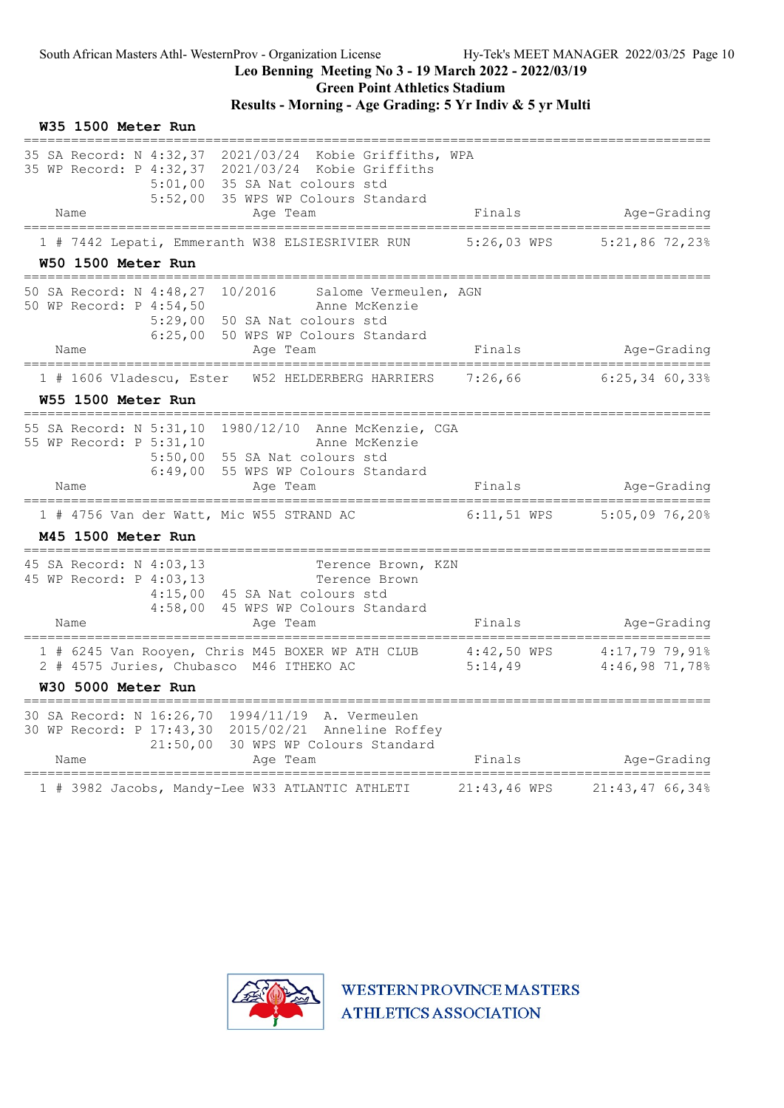### Leo Benning Meeting No 3 - 19 March 2022 - 2022/03/19 Green Point Athletics Stadium

### Results - Morning - Age Grading: 5 Yr Indiv & 5 yr Multi

| W35 1500 Meter Run                                                    |                                                                                                                                                      |                 |                                                                              |
|-----------------------------------------------------------------------|------------------------------------------------------------------------------------------------------------------------------------------------------|-----------------|------------------------------------------------------------------------------|
| 35 SA Record: N 4:32,37<br>5:52,00                                    | 2021/03/24 Kobie Griffiths, WPA<br>35 WP Record: P 4:32,37 2021/03/24 Kobie Griffiths<br>5:01,00 35 SA Nat colours std<br>35 WPS WP Colours Standard |                 |                                                                              |
| Name                                                                  | Age Team                                                                                                                                             | Finals          | Age-Grading<br>====================                                          |
| W50 1500 Meter Run<br>---------------------------                     | 1 # 7442 Lepati, Emmeranth W38 ELSIESRIVIER RUN                                                                                                      | 5:26,03 WPS     | $5:21,86$ 72,23%                                                             |
| 50 SA Record: N 4:48,27<br>50 WP Record: P 4:54,50                    | 10/2016<br>Salome Vermeulen, AGN<br>Anne McKenzie<br>5:29,00 50 SA Nat colours std<br>6:25,00 50 WPS WP Colours Standard                             |                 |                                                                              |
| Name                                                                  | Age Team                                                                                                                                             | Finals          | Age-Grading                                                                  |
| 1 # 1606 Vladescu, Ester                                              | W52 HELDERBERG HARRIERS                                                                                                                              | 7:26,66         | $6:25,34$ 60,33%                                                             |
| W55 1500 Meter Run<br>======================                          |                                                                                                                                                      |                 |                                                                              |
| 55 WP Record: P 5:31,10<br>6:49,00                                    | 55 SA Record: N 5:31,10 1980/12/10 Anne McKenzie, CGA<br>Anne McKenzie<br>5:50,00 55 SA Nat colours std<br>55 WPS WP Colours Standard                |                 |                                                                              |
| Name                                                                  | Age Team                                                                                                                                             | Finals          | Age-Grading                                                                  |
| 1 # 4756 Van der Watt, Mic W55 STRAND AC<br><b>M45 1500 Meter Run</b> |                                                                                                                                                      | $6:11$ , 51 WPS | $5:05,09$ 76,20%                                                             |
| 45 SA Record: N 4:03,13<br>45 WP Record: P 4:03,13<br>Name            | Terence Brown, KZN<br>Terence Brown<br>4:15,00 45 SA Nat colours std<br>4:58,00 45 WPS WP Colours Standard<br>Age Team                               | Finals          | Age-Grading                                                                  |
| 2 # 4575 Juries, Chubasco M46 ITHEKO AC<br><b>W30 5000 Meter Run</b>  | 1 # 6245 Van Rooyen, Chris M45 BOXER WP ATH CLUB                                                                                                     | 5:14,49         | $4:42,50$ WPS $4:17,79$ 79,91%<br>5.14 49 $4:46$ 98 71 788<br>4:46,98 71,78% |
|                                                                       |                                                                                                                                                      |                 |                                                                              |
| 21:50,00<br>Name                                                      | 30 SA Record: N 16:26,70 1994/11/19 A. Vermeulen<br>30 WP Record: P 17:43,30 2015/02/21 Anneline Roffey<br>30 WPS WP Colours Standard<br>Age Team    | Finals          | Age-Grading                                                                  |
|                                                                       | 1 # 3982 Jacobs, Mandy-Lee W33 ATLANTIC ATHLETI                                                                                                      | 21:43,46 WPS    | 21:43,4766,34%                                                               |

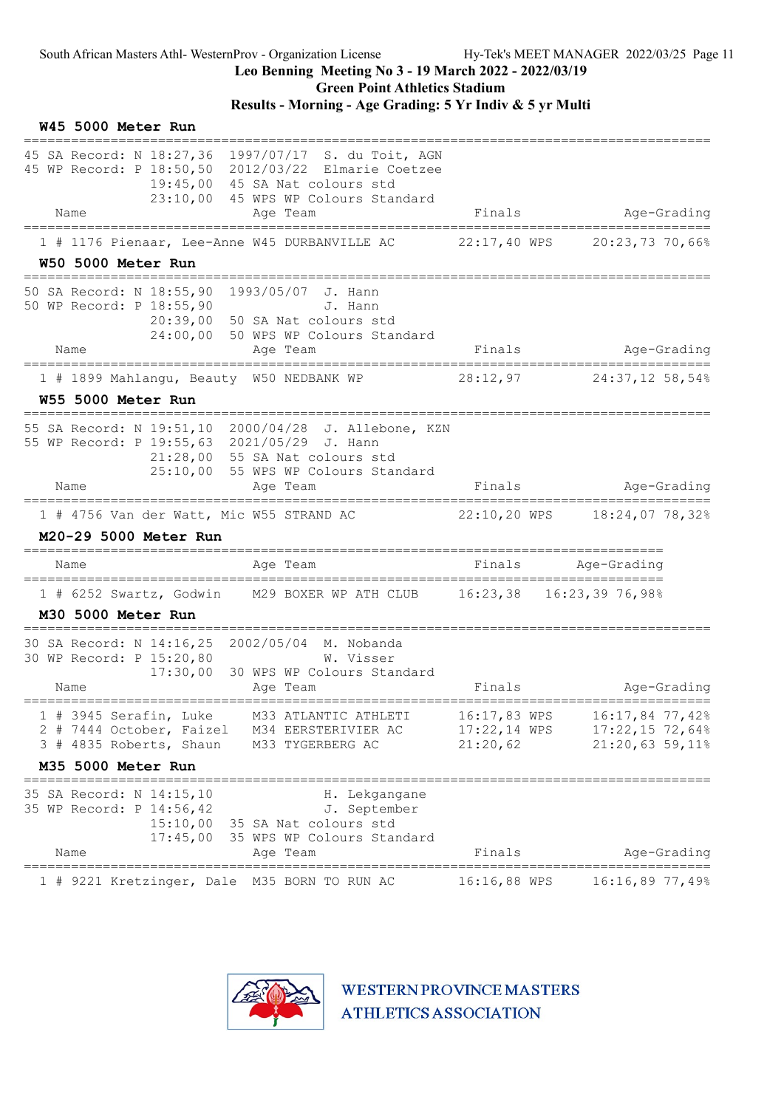Results - Morning - Age Grading: 5 Yr Indiv & 5 yr Multi

| W45 5000 Meter Run                                                                                                                                                                                      |                                              |                                                         |             |
|---------------------------------------------------------------------------------------------------------------------------------------------------------------------------------------------------------|----------------------------------------------|---------------------------------------------------------|-------------|
| 45 SA Record: N 18:27,36 1997/07/17 S. du Toit, AGN<br>45 WP Record: P 18:50,50 2012/03/22 Elmarie Coetzee<br>19:45,00 45 SA Nat colours std<br>23:10,00 45 WPS WP Colours Standard<br>Name<br>Age Team | Finals                                       | Age-Grading                                             |             |
| --------------------------<br>======================<br>============<br>1 # 1176 Pienaar, Lee-Anne W45 DURBANVILLE AC                                                                                   | 22:17,40 WPS                                 | =======================<br>20:23,73 70,66%              |             |
| W50 5000 Meter Run<br>=============================                                                                                                                                                     |                                              |                                                         |             |
| 50 SA Record: N 18:55,90 1993/05/07 J. Hann<br>50 WP Record: P 18:55,90<br>J. Hann<br>20:39,00 50 SA Nat colours std<br>24:00,00 50 WPS WP Colours Standard                                             |                                              |                                                         |             |
| Name<br>Age Team<br>================                                                                                                                                                                    | Finals                                       | Age-Grading                                             |             |
| 1 # 1899 Mahlangu, Beauty W50 NEDBANK WP                                                                                                                                                                | 28:12,97                                     | $24:37,12$ 58,54%                                       |             |
| W55 5000 Meter Run                                                                                                                                                                                      |                                              |                                                         |             |
| 55 SA Record: N 19:51,10 2000/04/28 J. Allebone, KZN<br>55 WP Record: P 19:55,63 2021/05/29 J. Hann<br>21:28,00 55 SA Nat colours std<br>25:10,00 55 WPS WP Colours Standard                            |                                              |                                                         |             |
| Name<br>Age Team                                                                                                                                                                                        | Finals                                       |                                                         | Age-Grading |
| 1 # 4756 Van der Watt, Mic W55 STRAND AC 22:10,20 WPS 18:24,07 78,32%<br>M20-29 5000 Meter Run                                                                                                          |                                              |                                                         |             |
| Name<br>Age Team                                                                                                                                                                                        | Finals                                       | Age-Grading                                             |             |
| 1 # 6252 Swartz, Godwin M29 BOXER WP ATH CLUB 16:23,38 16:23,39 76,98%<br>M30 5000 Meter Run                                                                                                            |                                              |                                                         |             |
| 30 SA Record: N 14:16,25 2002/05/04 M. Nobanda<br>30 WP Record: P 15:20,80<br>W. Visser<br>17:30,00 30 WPS WP Colours Standard<br>Name<br>Age Team                                                      | Finals                                       |                                                         | Age-Grading |
| 1 # 3945 Serafin, Luke<br>M33 ATLANTIC ATHLETI<br>2 # 7444 October, Faizel<br>M34 EERSTERIVIER AC<br>3 # 4835 Roberts, Shaun<br>M33 TYGERBERG AC                                                        | 16:17,83 WPS<br>$17:22,14$ WPS<br>21:20,62   | 16:17,84 77,42%<br>$17:22,15$ 72,64%<br>21:20,63 59,11% |             |
| M35 5000 Meter Run                                                                                                                                                                                      |                                              |                                                         |             |
| 35 SA Record: N 14:15,10<br>H. Lekgangane<br>35 WP Record: P 14:56,42<br>J. September<br>15:10,00 35 SA Nat colours std<br>17:45,00<br>35 WPS WP Colours Standard                                       |                                              |                                                         |             |
| Name<br>Age Team<br>========================<br>=====================                                                                                                                                   | Finals<br>================================== |                                                         | Age-Grading |
| 1 # 9221 Kretzinger, Dale M35 BORN TO RUN AC                                                                                                                                                            | 16:16,88 WPS                                 | 16:16,8977,49%                                          |             |

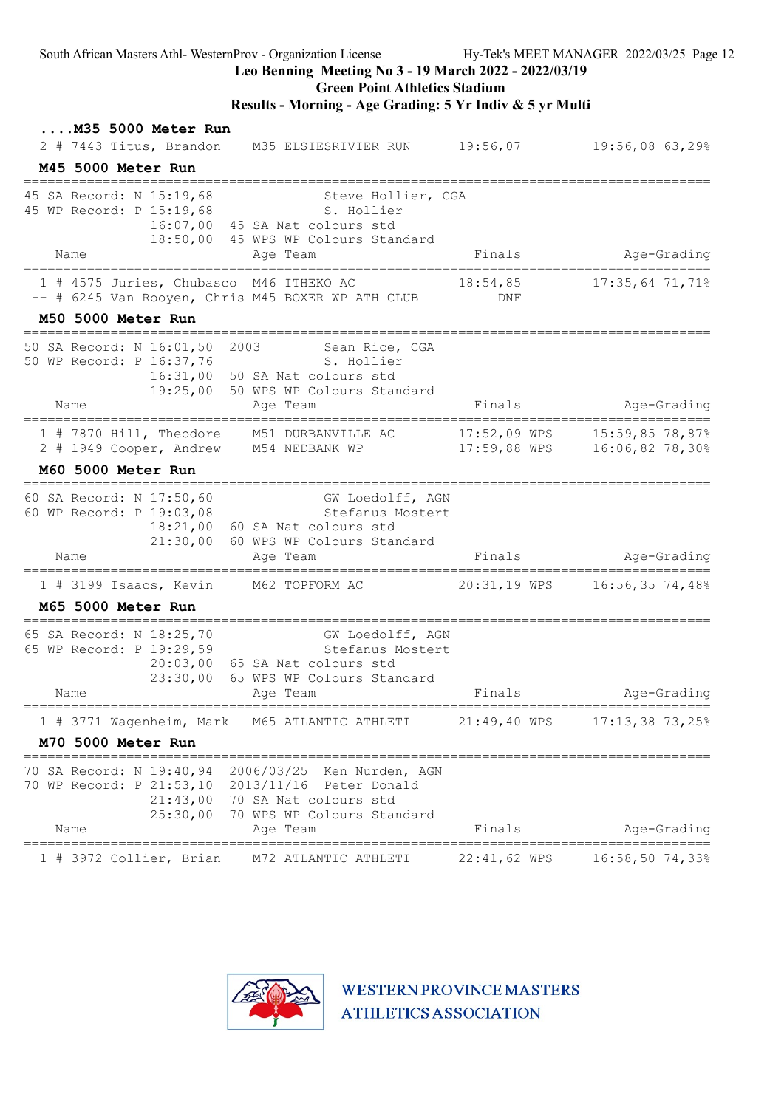### Leo Benning Meeting No 3 - 19 March 2022 - 2022/03/19

### Green Point Athletics Stadium

### Results - Morning - Age Grading: 5 Yr Indiv & 5 yr Multi

| M35 5000 Meter Run<br>2 # 7443 Titus, Brandon                                                                                       | M35 ELSIESRIVIER RUN 19:56,07                                                                                                             |                         | $19:56,08$ 63,29%                               |
|-------------------------------------------------------------------------------------------------------------------------------------|-------------------------------------------------------------------------------------------------------------------------------------------|-------------------------|-------------------------------------------------|
| M45 5000 Meter Run                                                                                                                  |                                                                                                                                           |                         |                                                 |
| ========================<br>45 SA Record: N 15:19,68<br>45 WP Record: P 15:19,68 S. Hollier<br>Name<br>============================ | Steve Hollier, CGA<br>16:07,00 45 SA Nat colours std<br>18:50,00 45 WPS WP Colours Standard<br>Age Team<br>===================            | Finals                  | Age-Grading<br>:=============                   |
| 1 # 4575 Juries, Chubasco M46 ITHEKO AC<br>-- # 6245 Van Rooyen, Chris M45 BOXER WP ATH CLUB                                        |                                                                                                                                           | 18:54,85<br>DNF         | $17:35,64$ 71,71%                               |
| M50 5000 Meter Run<br>=======================                                                                                       |                                                                                                                                           |                         |                                                 |
| 50 SA Record: N 16:01,50 2003<br>50 WP Record: P 16:37,76<br>Name                                                                   | Sean Rice, CGA<br>S. Hollier<br>16:31,00 50 SA Nat colours std<br>19:25,00 50 WPS WP Colours Standard<br>Age Team                         | Finals                  | Age-Grading                                     |
| 1 # 7870 Hill, Theodore M51 DURBANVILLE AC<br>2 # 1949 Cooper, Andrew M54 NEDBANK WP<br>M60 5000 Meter Run                          |                                                                                                                                           | $17:59,88$ WPS          | 17:52,09 WPS 15:59,85 78,87%<br>16:06,82 78,30% |
|                                                                                                                                     |                                                                                                                                           |                         |                                                 |
| 60 SA Record: N 17:50,60<br>60 WP Record: P 19:03,08<br>Name                                                                        | GW Loedolff, AGN<br>Stefanus Mostert<br>18:21,00 60 SA Nat colours std<br>21:30,00 60 WPS WP Colours Standard<br>Age Team                 | Finals                  | Age-Grading                                     |
| 1 # 3199 Isaacs, Kevin M62 TOPFORM AC                                                                                               |                                                                                                                                           |                         | 20:31,19 WPS 16:56,35 74,48%                    |
| M65 5000 Meter Run                                                                                                                  |                                                                                                                                           |                         |                                                 |
| 65 SA Record: N 18:25,70<br>65 WP Record: P 19:29,59<br>23:30,00<br>Name                                                            | =====================<br>GW Loedolff, AGN<br>Stefanus Mostert<br>20:03,00 65 SA Nat colours std<br>65 WPS WP Colours Standard<br>Age Team | Finals                  | Age-Grading                                     |
| ==================<br>==========<br>1 # 3771 Wagenheim, Mark                                                                        | M65 ATLANTIC ATHLETI                                                                                                                      | 21:49,40 WPS            | ==========================<br>17:13,38 73,25%   |
| M70 5000 Meter Run                                                                                                                  |                                                                                                                                           |                         |                                                 |
| 70 SA Record: N 19:40,94<br>70 WP Record: P 21:53,10<br>21:43,00<br>25:30,00<br>Name                                                | 2006/03/25<br>Ken Nurden, AGN<br>2013/11/16    Peter Donald<br>70 SA Nat colours std<br>70 WPS WP Colours Standard<br>Age Team            | Finals                  | Age-Grading                                     |
| 1 # 3972 Collier, Brian                                                                                                             | M72 ATLANTIC ATHLETI                                                                                                                      | =======<br>22:41,62 WPS | ===============<br>16:58,50 74,33%              |

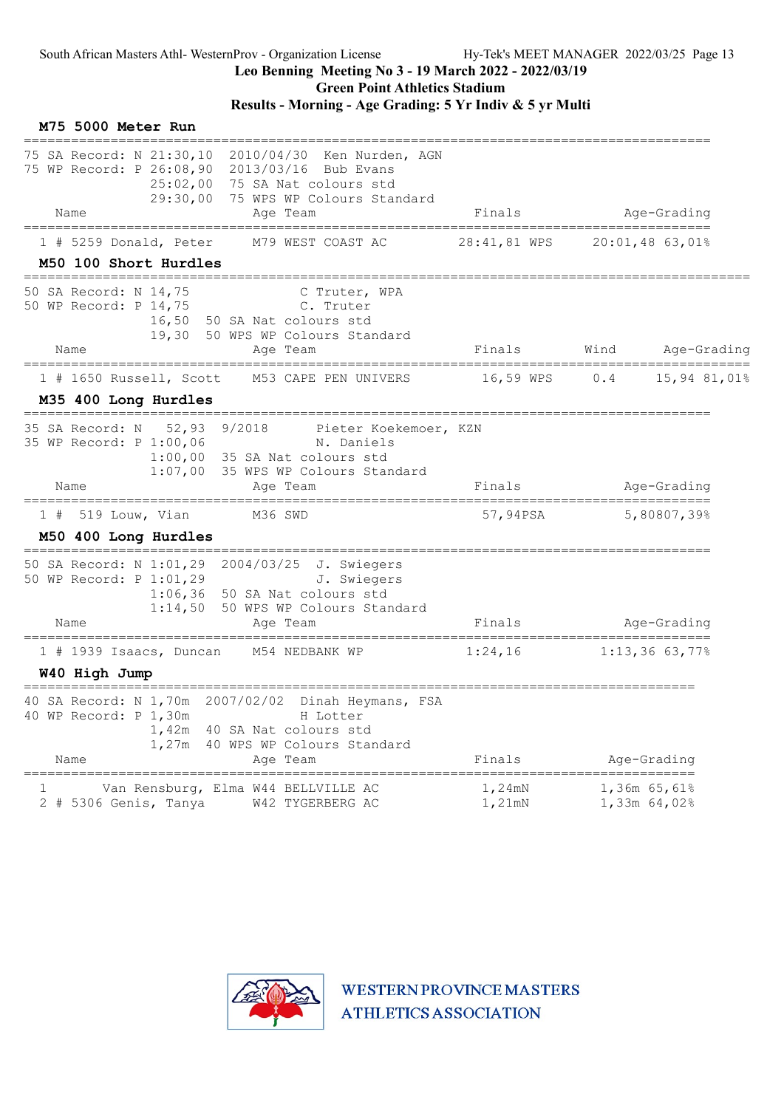Green Point Athletics Stadium

|   | M75 5000 Meter Run                                                                                                                                                                                 |                     |                                               |
|---|----------------------------------------------------------------------------------------------------------------------------------------------------------------------------------------------------|---------------------|-----------------------------------------------|
|   | 75 SA Record: N 21:30,10 2010/04/30 Ken Nurden, AGN<br>75 WP Record: P 26:08,90 2013/03/16 Bub Evans<br>25:02,00 75 SA Nat colours std<br>29:30,00 75 WPS WP Colours Standard                      |                     |                                               |
|   | Age Team<br>Name                                                                                                                                                                                   | Finals              | Age-Grading                                   |
|   | $1$ # 5259 Donald, Peter<br>M79 WEST COAST AC<br>M50 100 Short Hurdles                                                                                                                             | 28:41,81 WPS        | 20:01,48 63,01%                               |
|   | 50 SA Record: N 14,75<br>C Truter, WPA<br>50 WP Record: P 14,75<br>C. Truter<br>16,50 50 SA Nat colours std<br>19,30 50 WPS WP Colours Standard<br>Name<br>Age Team                                | Finals              | Wind<br>Age-Grading                           |
|   |                                                                                                                                                                                                    |                     |                                               |
|   | $1$ # 1650 Russell, Scott<br>M53 CAPE PEN UNIVERS<br>M35 400 Long Hurdles<br>======================<br>=================                                                                           | 16,59 WPS           | 0.4<br>15,94 81,01%                           |
|   | 52,93 9/2018<br>35 SA Record: N<br>Pieter Koekemoer, KZN<br>35 WP Record: P 1:00,06<br>N. Daniels<br>1:00,00<br>35 SA Nat colours std<br>1:07,00<br>35 WPS WP Colours Standard<br>Name<br>Age Team | Finals              | Age-Grading                                   |
|   | $1$ # 519 Louw, Vian<br>M36 SWD                                                                                                                                                                    | 57,94PSA            | 5,80807,39%                                   |
|   | M50 400 Long Hurdles                                                                                                                                                                               |                     |                                               |
|   | 50 SA Record: N 1:01,29 2004/03/25 J. Swiegers<br>50 WP Record: P 1:01,29<br>J. Swiegers<br>1:06,36<br>50 SA Nat colours std<br>1:14,50 50 WPS WP Colours Standard<br>Age Team<br>Name             | Finals              | Age-Grading<br>=====================          |
|   | $1$ # 1939 Isaacs, Duncan<br>M54 NEDBANK WP<br>W40 High Jump                                                                                                                                       | 1:24,16             | $1:13,36$ 63,77%                              |
|   | 40 SA Record: N 1,70m 2007/02/02 Dinah Heymans, FSA<br>40 WP Record: P 1,30m<br>H Lotter<br>1,42m<br>40 SA Nat colours std<br>40 WPS WP Colours Standard<br>1,27m<br>Name<br>Age Team              | Finals              | Age-Grading                                   |
| 1 | Van Rensburg, Elma W44 BELLVILLE AC<br>2 # 5306 Genis, Tanya<br>W42 TYGERBERG AC                                                                                                                   | $1,24$ mN<br>1,21mN | ===========<br>$1,36m$ 65,61%<br>1,33m 64,02% |

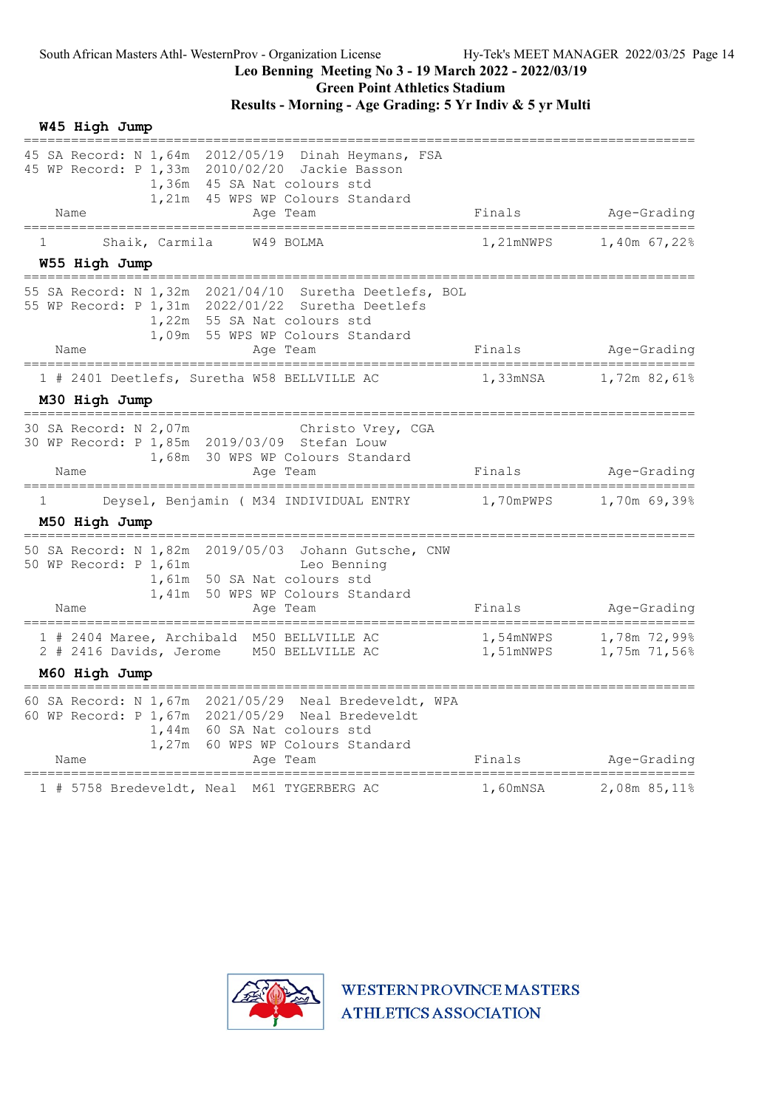### Results - Morning - Age Grading: 5 Yr Indiv & 5 yr Multi

| W45 High Jump                                                                                                                                                                                      |           |                                        |
|----------------------------------------------------------------------------------------------------------------------------------------------------------------------------------------------------|-----------|----------------------------------------|
| 45 SA Record: N 1,64m 2012/05/19 Dinah Heymans, FSA<br>45 WP Record: P 1,33m 2010/02/20 Jackie Basson<br>1,36m 45 SA Nat colours std<br>1,21m<br>45 WPS WP Colours Standard<br>Name<br>Age Team    | Finals    | Age-Grading                            |
| Shaik, Carmila W49 BOLMA<br>1                                                                                                                                                                      | 1,21mNWPS | 1,40m 67,22%                           |
| W55 High Jump                                                                                                                                                                                      |           |                                        |
| 55 SA Record: N 1,32m 2021/04/10 Suretha Deetlefs, BOL<br>55 WP Record: P 1,31m 2022/01/22 Suretha Deetlefs<br>1,22m 55 SA Nat colours std<br>1,09m 55 WPS WP Colours Standard<br>Name<br>Age Team | Finals    | Age-Grading                            |
| ===================<br>===========                                                                                                                                                                 |           |                                        |
| 1 # 2401 Deetlefs, Suretha W58 BELLVILLE AC<br>M30 High Jump                                                                                                                                       | 1,33mNSA  | 1,72m 82,61%                           |
| 30 SA Record: N 2,07m<br>Christo Vrey, CGA<br>30 WP Record: P 1,85m 2019/03/09 Stefan Louw<br>1,68m 30 WPS WP Colours Standard<br>Name<br>Age Team                                                 | Finals    | Age-Grading                            |
| Deysel, Benjamin ( M34 INDIVIDUAL ENTRY<br>1<br>M50 High Jump                                                                                                                                      | 1,70mPWPS | 1,70m 69,39%                           |
| 50 SA Record: N 1,82m 2019/05/03 Johann Gutsche, CNW<br>50 WP Record: P 1,61m<br>Leo Benning<br>1,61m 50 SA Nat colours std<br>1,41m 50 WPS WP Colours Standard<br>Name<br>Age Team                | Finals    | Age-Grading                            |
| 1 # 2404 Maree, Archibald M50 BELLVILLE AC<br>2 # 2416 Davids, Jerome M50 BELLVILLE AC                                                                                                             | 1,51mNWPS | 1,54mNWPS 1,78m 72,99%<br>1,75m 71,56% |
| M60 High Jump<br>==============                                                                                                                                                                    |           |                                        |
| 60 SA Record: N 1,67m 2021/05/29 Neal Bredeveldt, WPA<br>60 WP Record: P 1,67m 2021/05/29 Neal Bredeveldt<br>1,44m 60 SA Nat colours std<br>1,27m 60 WPS WP Colours Standard<br>Name<br>Age Team   | Finals    | Age-Grading                            |
| 1 # 5758 Bredeveldt, Neal M61 TYGERBERG AC                                                                                                                                                         | 1,60mNSA  | 2,08m 85,11%                           |

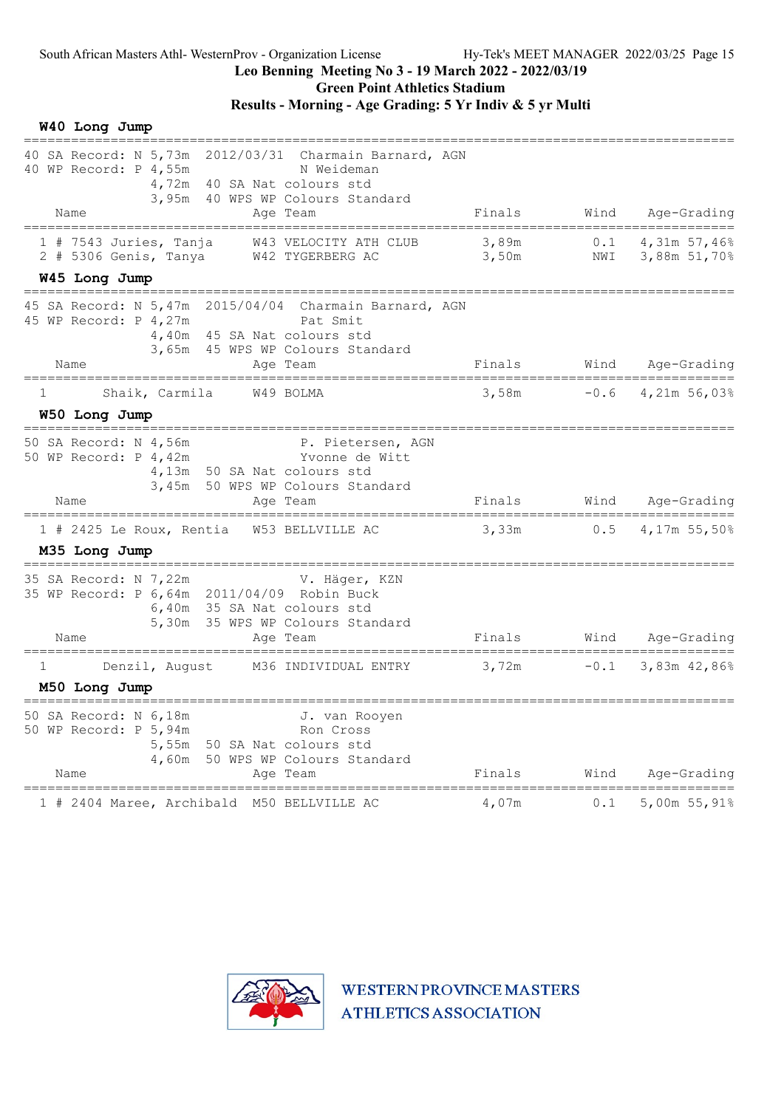Green Point Athletics Stadium

## Results - Morning - Age Grading: 5 Yr Indiv & 5 yr Multi

W40 Long Jump

| 40 SA Record: N 5,73m 2012/03/31 Charmain Barnard, AGN<br>40 WP Record: P 4,55m<br>N Weideman<br>4,72m 40 SA Nat colours std                                                                                                               |                                  |                                       |                                   |
|--------------------------------------------------------------------------------------------------------------------------------------------------------------------------------------------------------------------------------------------|----------------------------------|---------------------------------------|-----------------------------------|
| 3,95m 40 WPS WP Colours Standard<br>Name<br>Age Team                                                                                                                                                                                       | Finals                           | Wind                                  | Age-Grading                       |
| $1$ # 7543 Juries, Tanja<br>W43 VELOCITY ATH CLUB<br>$2$ # 5306 Genis, Tanya<br>W42 TYGERBERG AC                                                                                                                                           | 3,89m<br>3,50m                   | 0.1<br>NWI                            | 4,31m 57,46%<br>3,88m 51,70%      |
| W45 Long Jump                                                                                                                                                                                                                              |                                  |                                       |                                   |
| 15 SA Record: N 5,47m 2015/04/04 Charmain Barnard, AGN<br>45 WP Record: P 4,27m<br>Pat Smit<br>4,40m 45 SA Nat colours std<br>3,65m 45 WPS WP Colours Standard                                                                             |                                  |                                       |                                   |
| Name<br>Age Team                                                                                                                                                                                                                           |                                  |                                       | Finals Wind Age-Grading           |
| =================================<br>=============<br>Shaik, Carmila W49 BOLMA<br>$\mathbf{1}$<br>W50 Long Jump                                                                                                                            | 3,58m                            |                                       | $-0.6$ 4,21m 56,03%               |
| 50 SA Record: N 4,56m<br>P. Pietersen, AGN<br>50 SA Record: N 4,56m<br>50 WP Record: P 4,42m                       Yvonne de Witt<br>4,13m 50 SA Nat colours std<br>3,45m 50 WPS WP Colours Standard                                       |                                  |                                       |                                   |
| Name<br>Age Team                                                                                                                                                                                                                           | Finals<br>---------------------- |                                       | Wind Age-Grading<br>_____________ |
| 1 # 2425 Le Roux, Rentia<br>W53 BELLVILLE AC<br>M35 Long Jump                                                                                                                                                                              | 3,33m                            | 0.5                                   | 4,17m 55,50%                      |
| =====================================<br>=================<br>35 SA Record: N 7,22m<br>V. Häger, KZN<br>35 WP Record: P 6,64m 2011/04/09 Robin Buck<br>6,40m 35 SA Nat colours std<br>5,30m 35 WPS WP Colours Standard<br>Name<br>Age Team | Finals                           |                                       | Wind Age-Grading                  |
| ====================================<br>=======================<br>M36 INDIVIDUAL ENTRY<br>Denzil, August<br>$\mathbf{1}$                                                                                                                  | 3,72m                            | ===========================<br>$-0.1$ | 3,83m 42,86%                      |
| M50 Long Jump                                                                                                                                                                                                                              |                                  |                                       |                                   |
| 50 SA Record: N 6,18m<br>J. van Rooyen<br>50 WP Record: P 5,94m<br>Ron Cross<br>5,55m 50 SA Nat colours std<br>4,60m 50 WPS WP Colours Standard<br>Name<br>Age Team                                                                        | Finals                           | Wind                                  | Age-Grading                       |
| 1 # 2404 Maree, Archibald M50 BELLVILLE AC                                                                                                                                                                                                 | 4,07m                            | 0.1                                   | 5,00m 55,91%                      |

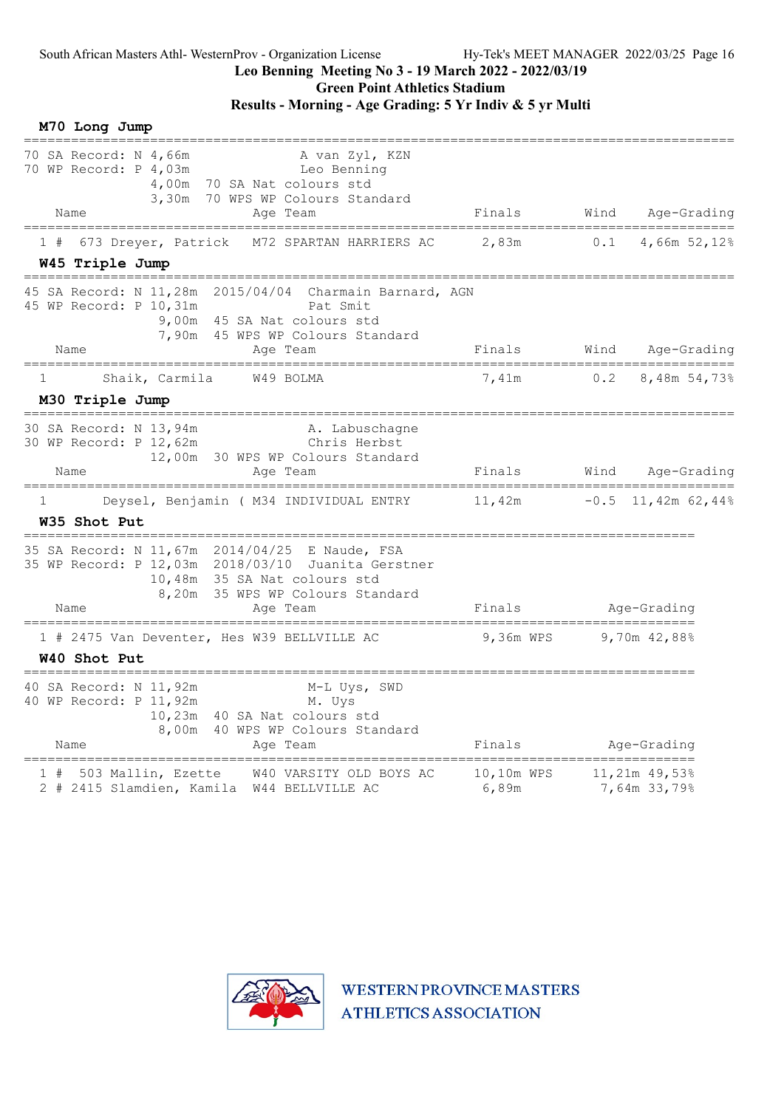## Leo Benning Meeting No 3 - 19 March 2022 - 2022/03/19

Green Point Athletics Stadium

### Results - Morning - Age Grading: 5 Yr Indiv & 5 yr Multi

| M70 Long Jump                                                                                                                                                                                                      |                                            |        |                                          |
|--------------------------------------------------------------------------------------------------------------------------------------------------------------------------------------------------------------------|--------------------------------------------|--------|------------------------------------------|
| 70 SA Record: N 4,66m<br>A van Zyl, KZN<br>70 WP Record: P 4,03m<br>Leo Benning<br>70 SA Nat colours std<br>4,00m<br>3,30m<br>70 WPS WP Colours Standard<br>Name                                                   | Finals                                     | Wind   | Age-Grading                              |
| Age Team                                                                                                                                                                                                           |                                            |        | ==============                           |
| 673 Dreyer, Patrick<br>M72 SPARTAN HARRIERS AC<br>1#<br>W45 Triple Jump                                                                                                                                            | 2,83m                                      | 0.1    | 4,66m 52,12%                             |
| 45 SA Record: N 11,28m 2015/04/04 Charmain Barnard, AGN<br>45 WP Record: P 10,31m<br>Pat Smit<br>9,00m 45 SA Nat colours std<br>7,90m 45 WPS WP Colours Standard<br>Name<br>Age Team                               | Finals                                     | Wind   | Age-Grading                              |
| W49 BOLMA<br>Shaik, Carmila<br>1.                                                                                                                                                                                  | 7,41m                                      | 0.2    | 8,48m 54,73%                             |
| M30 Triple Jump                                                                                                                                                                                                    |                                            |        |                                          |
| ============<br>30 SA Record: N 13,94m<br>A. Labuschagne<br>30 WP Record: P 12,62m<br>Chris Herbst<br>12,00m 30 WPS WP Colours Standard<br>Name<br>Age Team                                                        | Finals                                     | Wind   | Age-Grading                              |
| Deysel, Benjamin ( M34 INDIVIDUAL ENTRY<br>1<br>W35 Shot Put                                                                                                                                                       | 11,42m                                     | $-0.5$ | 11,42m $62,44\%$                         |
| 35 SA Record: N 11,67m 2014/04/25 E Naude, FSA<br>35 WP Record: P 12,03m 2018/03/10 Juanita Gerstner<br>10,48m 35 SA Nat colours std<br>8,20m 35 WPS WP Colours Standard<br>Name<br>Age Team                       | Finals                                     |        | Age-Grading                              |
| 1 # 2475 Van Deventer, Hes W39 BELLVILLE AC                                                                                                                                                                        | _____________________________<br>9,36m WPS |        | 9,70 $m$ 42,88%                          |
| W40 Shot Put<br>--------------------                                                                                                                                                                               |                                            |        |                                          |
| 40 SA Record: N 11,92m<br>M-L Uys, SWD<br>40 WP Record: P 11,92m<br>M. Uys<br>10,23m 40 SA Nat colours std<br>8,00m 40 WPS WP Colours Standard<br>Name<br>Age Team<br>============================<br>============ | Finals                                     |        | Age-Grading<br>========================= |
| W40 VARSITY OLD BOYS AC<br>1 # 503 Mallin, Ezette<br>2 # 2415 Slamdien, Kamila W44 BELLVILLE AC                                                                                                                    | 10,10m WPS<br>6,89m                        |        | $11,21m$ 49,53%<br>7,64m 33,79%          |

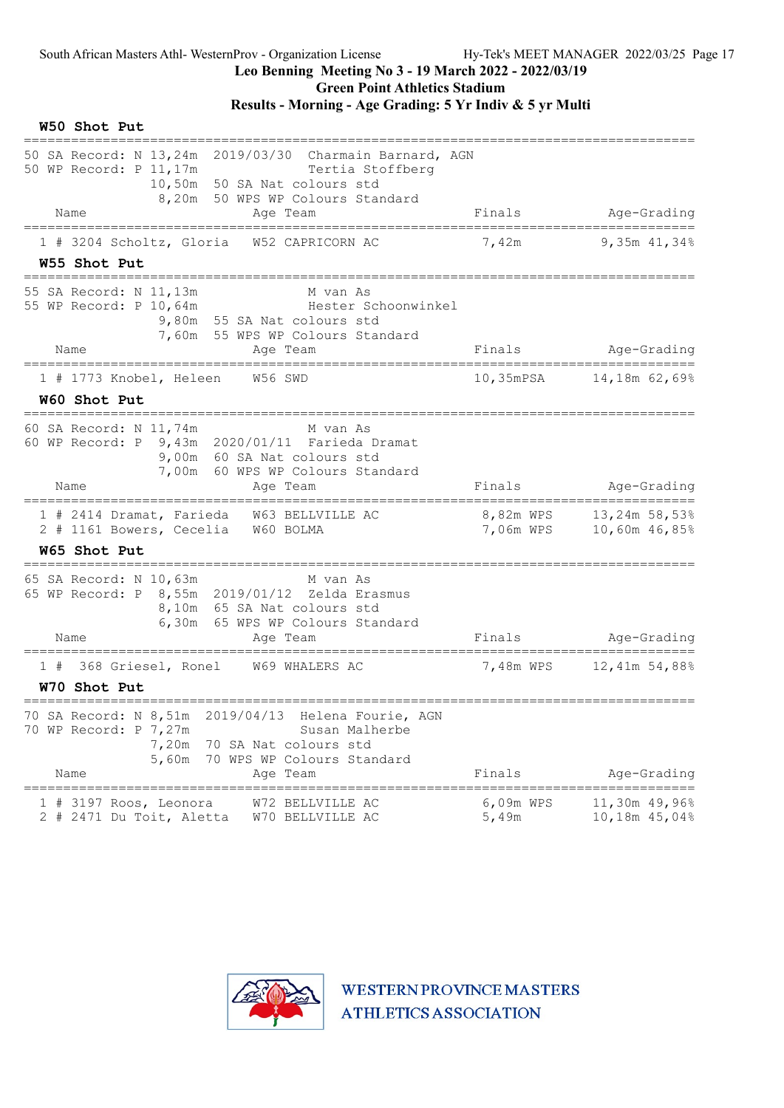Green Point Athletics Stadium

| W50 Shot Put                                                                                                                                                                                      |                                      |                                         |
|---------------------------------------------------------------------------------------------------------------------------------------------------------------------------------------------------|--------------------------------------|-----------------------------------------|
| 50 SA Record: N 13,24m 2019/03/30 Charmain Barnard, AGN<br>50 WP Record: P 11,17m<br>Tertia Stoffberg<br>10,50m 50 SA Nat colours std<br>8,20m 50 WPS WP Colours Standard                         |                                      |                                         |
| Name<br>Age Team                                                                                                                                                                                  | Finals                               | Age-Grading                             |
| ========================<br>_____________<br>1 # 3204 Scholtz, Gloria W52 CAPRICORN AC<br>W55 Shot Put                                                                                            | 7,42m                                | 9,35m 41,34%                            |
| 55 SA Record: N 11,13m<br>M van As<br>55 WP Record: P 10,64m<br>Hester Schoonwinkel<br>9,80m 55 SA Nat colours std<br>7,60m 55 WPS WP Colours Standard                                            |                                      |                                         |
| Name<br>Age Team<br>===================================<br>=======================                                                                                                                | Finals                               | Age-Grading                             |
| 1 # 1773 Knobel, Heleen<br>W56 SWD                                                                                                                                                                | $10,35$ m $PSA$                      | 14,18m 62,69%                           |
| W60 Shot Put<br>==============================                                                                                                                                                    |                                      |                                         |
| 60 SA Record: N 11,74m<br>M van As<br>60 WP Record: P 9,43m 2020/01/11 Farieda Dramat<br>9,00m 60 SA Nat colours std<br>7,00m 60 WPS WP Colours Standard<br>Name<br>Age Team                      | Finals                               | Age-Grading                             |
| 1 # 2414 Dramat, Farieda W63 BELLVILLE AC<br>2 # 1161 Bowers, Cecelia W60 BOLMA<br><b>W65 Shot Put</b>                                                                                            | 8,82m WPS 13,24m 58,53%<br>7,06m WPS | 10,60m 46,85%                           |
| 65 SA Record: N 10,63m<br>M van As<br>65 WP Record: P 8,55m 2019/01/12 Zelda Erasmus<br>8,10m 65 SA Nat colours std<br>6,30m 65 WPS WP Colours Standard<br>Name<br>Age Team                       | Finals                               | Age-Grading<br>======================== |
| 368 Griesel, Ronel W69 WHALERS AC<br>1#<br>W70 Shot Put                                                                                                                                           | 7,48m WPS                            | 12,41m 54,88%                           |
| 70 SA Record: N 8,51m<br>2019/04/13<br>Helena Fourie, AGN<br>70 WP Record: P 7,27m<br>Susan Malherbe<br>7,20m<br>70 SA Nat colours std<br>70 WPS WP Colours Standard<br>5,60m<br>Name<br>Aqe Team | Finals                               | Age-Grading                             |
| 3197 Roos, Leonora<br>W72 BELLVILLE AC<br>1#<br>2 # 2471 Du Toit, Aletta<br>W70 BELLVILLE AC                                                                                                      | 6,09m WPS<br>5,49m                   | 11,30m 49,96%<br>10,18m 45,04%          |

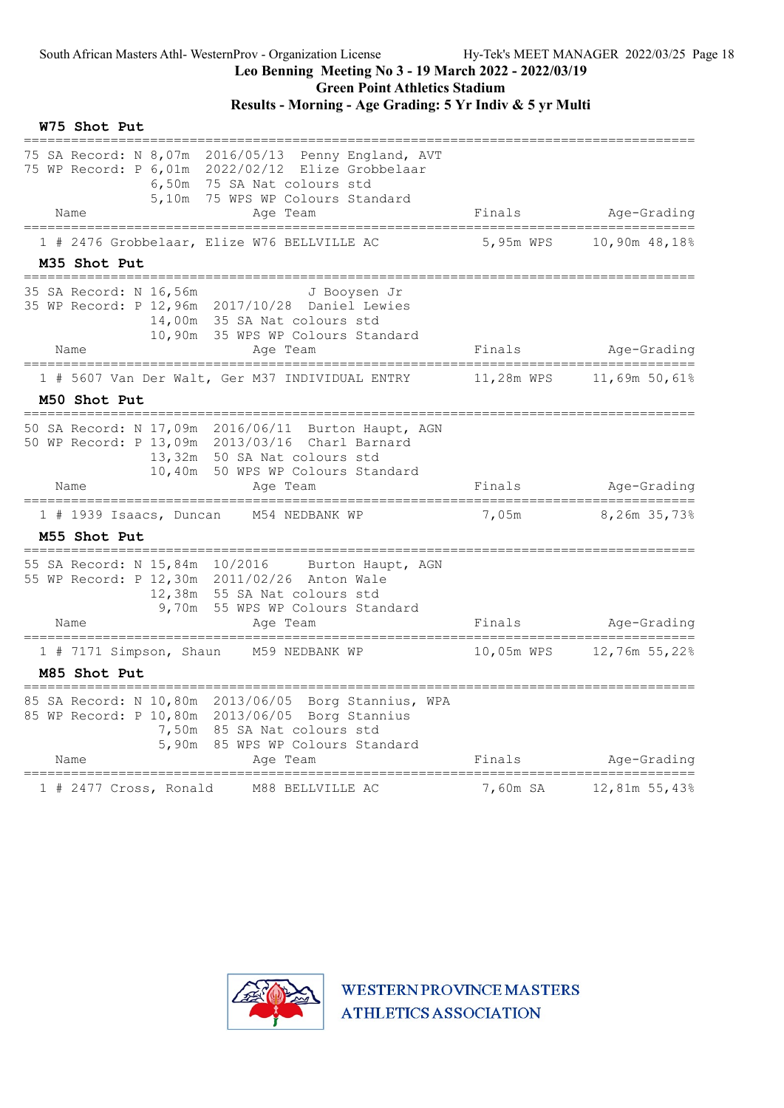#### Results - Morning - Age Grading: 5 Yr Indiv & 5 yr Multi

W75 Shot Put ===================================================================================== 75 SA Record: N 8,07m 2016/05/13 Penny England, AVT 75 WP Record: P 6,01m 2022/02/12 Elize Grobbelaar 6,50m 75 SA Nat colours std 5,10m 75 WPS WP Colours Standard Name Age Team Age Team Finals Age-Grading ===================================================================================== 1 # 2476 Grobbelaar, Elize W76 BELLVILLE AC M35 Shot Put ===================================================================================== 35 SA Record: N 16,56m J Booysen Jr 35 WP Record: P 12,96m 2017/10/28 Daniel Lewies 14,00m 35 SA Nat colours std 10,90m 35 WPS WP Colours Standard Name Age Team Finals Age-Grading ===================================================================================== 1 # 5607 Van Der Walt, Ger M37 INDIVIDUAL ENTRY 11,28m WPS 11,69m 50,61% M50 Shot Put ===================================================================================== 50 SA Record: N 17,09m 2016/06/11 Burton Haupt, AGN 50 WP Record: P 13,09m 2013/03/16 Charl Barnard 13,32m 50 SA Nat colours std 10,40m 50 WPS WP Colours Standard Name **Age Team** Age Team Finals Age-Grading ===================================================================================== 1 # 1939 Isaacs, Duncan M54 NEDBANK WP M55 Shot Put ===================================================================================== 55 SA Record: N 15,84m 10/2016 Burton Haupt, AGN 55 WP Record: P 12,30m 2011/02/26 Anton Wale 12,38m 55 SA Nat colours std 9,70m 55 WPS WP Colours Standard Name Age Team Finals Age-Grading ===================================================================================== 1 # 7171 Simpson, Shaun 1059 NEDBANK WP 10,05m WPS M85 Shot Put ===================================================================================== 85 SA Record: N 10,80m 2013/06/05 Borg Stannius, WPA 85 WP Record: P 10,80m 2013/06/05 Borg Stannius 7,50m 85 SA Nat colours std 5,90m 85 WPS WP Colours Standard Name Age Team Age Team Finals Age-Grading ===================================================================================== 1 # 2477 Cross, Ronald M88 BELLVILLE AC

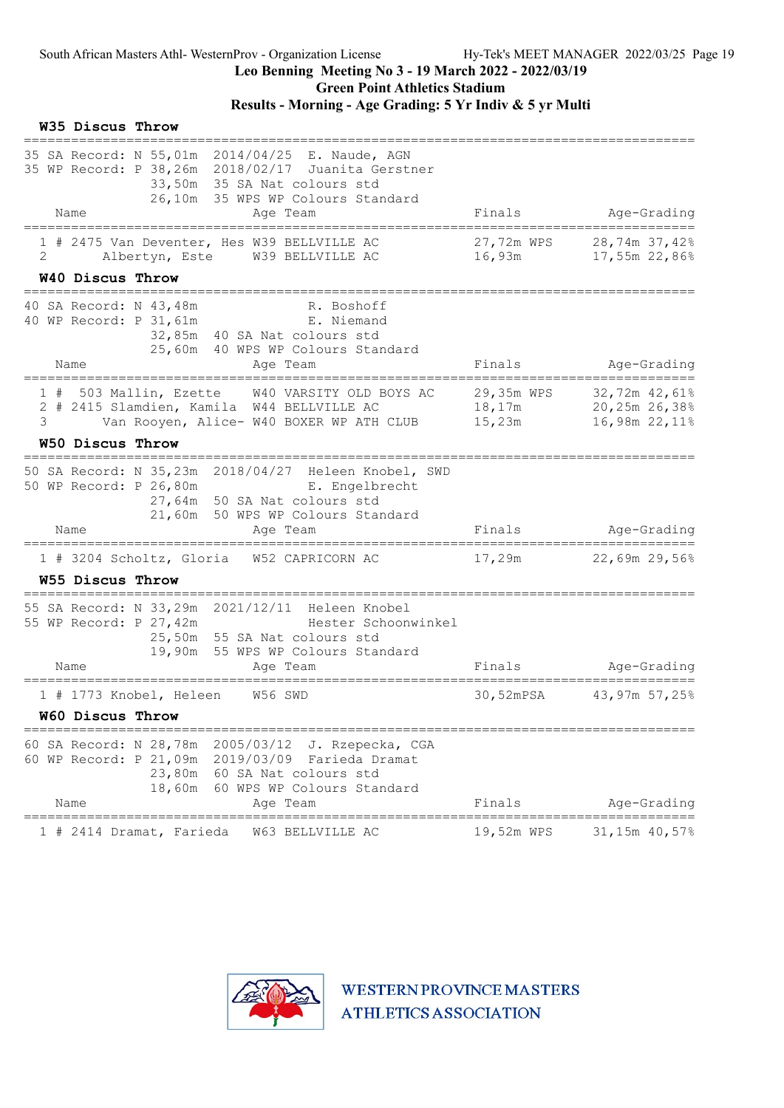Green Point Athletics Stadium

### Results - Morning - Age Grading: 5 Yr Indiv & 5 yr Multi

|   | W35 Discus Throw |                                    |                                                                                                                                                                                            |                                               |                                                        |
|---|------------------|------------------------------------|--------------------------------------------------------------------------------------------------------------------------------------------------------------------------------------------|-----------------------------------------------|--------------------------------------------------------|
|   | Name             |                                    | 35 SA Record: N 55,01m 2014/04/25 E. Naude, AGN<br>35 WP Record: P 38,26m 2018/02/17 Juanita Gerstner<br>33,50m 35 SA Nat colours std<br>26,10m 35 WPS WP Colours Standard<br>Age Team     | Finals                                        | Age-Grading                                            |
|   |                  |                                    | 1 # 2475 Van Deventer, Hes W39 BELLVILLE AC                                                                                                                                                | 27,72m WPS                                    | 28,74m 37,42%                                          |
| 2 |                  |                                    | Albertyn, Este W39 BELLVILLE AC                                                                                                                                                            | 16,93m                                        | 17,55m 22,86%                                          |
|   | W40 Discus Throw |                                    | ======================================                                                                                                                                                     |                                               |                                                        |
|   |                  | 40 SA Record: N 43,48m             | R. Boshoff<br>40 WP Record: P 31, 61m E. Niemand<br>32,85m 40 SA Nat colours std<br>25,60m 40 WPS WP Colours Standard                                                                      |                                               |                                                        |
|   | Name             | ================================== | Age Team                                                                                                                                                                                   | Finals                                        | Age-Grading                                            |
| 3 |                  |                                    | 1 # 503 Mallin, Ezette W40 VARSITY OLD BOYS AC<br>2 # 2415 Slamdien, Kamila W44 BELLVILLE AC<br>Van Rooyen, Alice- W40 BOXER WP ATH CLUB                                                   | 29,35m WPS<br>15,23m                          | 32,72m 42,61%<br>18,17m 20,25m 26,38%<br>16,98m 22,11% |
|   | W50 Discus Throw | ------------------------------     |                                                                                                                                                                                            |                                               |                                                        |
|   |                  |                                    | 50 SA Record: N 35,23m 2018/04/27 Heleen Knobel, SWD<br>50 WP Record: P 26,80m<br>E. Engelbrecht<br>27,64m 50 SA Nat colours std<br>21,60m 50 WPS WP Colours Standard                      |                                               |                                                        |
|   | Name             |                                    | Age Team                                                                                                                                                                                   | Finals                                        | Age-Grading                                            |
|   |                  |                                    | 1 # 3204 Scholtz, Gloria W52 CAPRICORN AC                                                                                                                                                  | 17,29m                                        | 22,69m 29,56%                                          |
|   | W55 Discus Throw |                                    |                                                                                                                                                                                            |                                               |                                                        |
|   |                  | 55 WP Record: P 27,42m             | 55 SA Record: N 33,29m 2021/12/11 Heleen Knobel<br>Hester Schoonwinkel<br>25,50m 55 SA Nat colours std<br>19,90m 55 WPS WP Colours Standard                                                |                                               |                                                        |
|   | Name             | =================================  | Age Team                                                                                                                                                                                   | Finals<br>=================================== | Age-Grading                                            |
|   |                  |                                    | 1 # 1773 Knobel, Heleen W56 SWD                                                                                                                                                            |                                               | 30,52mPSA 43,97m 57,25%                                |
|   | W60 Discus Throw |                                    |                                                                                                                                                                                            |                                               |                                                        |
|   | Name             |                                    | 60 SA Record: N 28,78m 2005/03/12<br>J. Rzepecka, CGA<br>60 WP Record: P 21,09m 2019/03/09 Farieda Dramat<br>23,80m 60 SA Nat colours std<br>18,60m 60 WPS WP Colours Standard<br>Age Team | Finals                                        | Age-Grading                                            |
|   |                  |                                    |                                                                                                                                                                                            | ========================                      |                                                        |
|   |                  | 1 # 2414 Dramat, Farieda           | W63 BELLVILLE AC                                                                                                                                                                           | 19,52m WPS                                    | 31,15m 40,57%                                          |

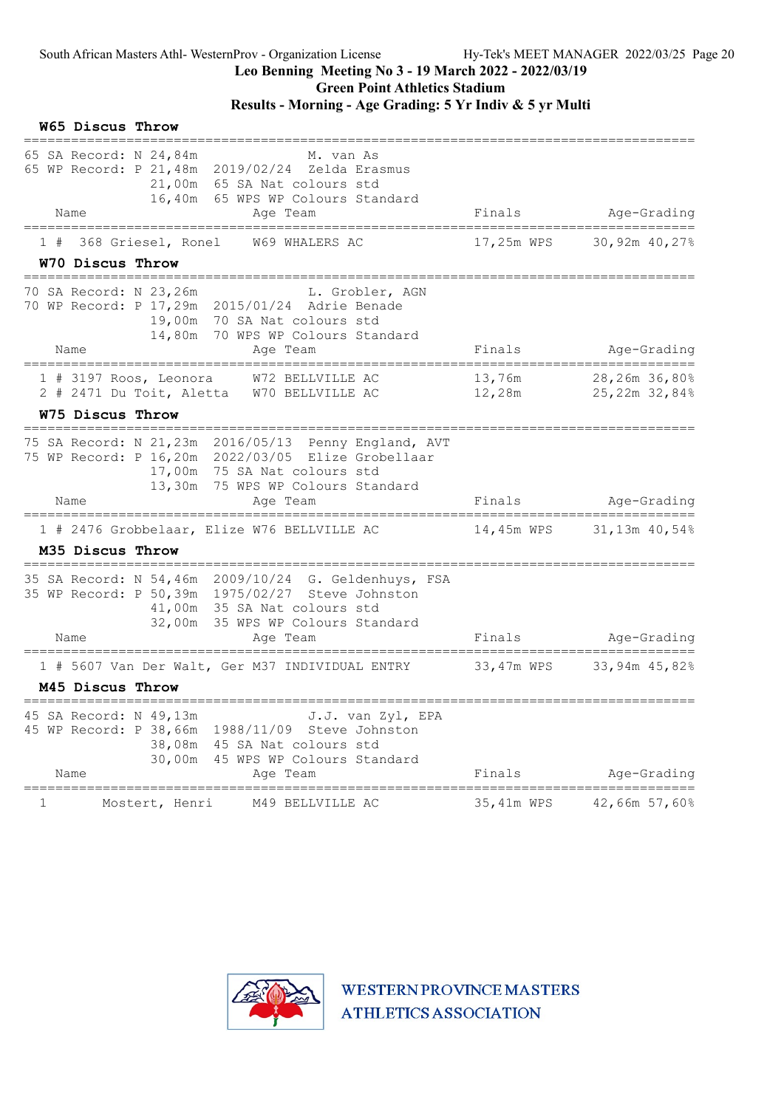W65 Discus Throw

## Leo Benning Meeting No 3 - 19 March 2022 - 2022/03/19

Green Point Athletics Stadium

| 65 SA Record: N 24,84m<br>Name | M. van As<br>65 WP Record: P 21, 48m 2019/02/24 Zelda Erasmus<br>21,00m 65 SA Nat colours std<br>16,40m 65 WPS WP Colours Standard                                            | Finals           |                                |
|--------------------------------|-------------------------------------------------------------------------------------------------------------------------------------------------------------------------------|------------------|--------------------------------|
|                                | Age Team                                                                                                                                                                      |                  | Age-Grading                    |
| 368 Griesel, Ronel<br>1#       | W69 WHALERS AC                                                                                                                                                                | 17,25m WPS       | 30,92m 40,27%                  |
| W70 Discus Throw               |                                                                                                                                                                               |                  |                                |
| 70 SA Record: N 23,26m         | L. Grobler, AGN<br>70 WP Record: P 17,29m 2015/01/24 Adrie Benade<br>19,00m 70 SA Nat colours std<br>14,80m<br>70 WPS WP Colours Standard                                     |                  |                                |
| Name<br>--------------         | Age Team                                                                                                                                                                      | Finals           | Age-Grading                    |
| $1$ # 3197 Roos, Leonora       | W72 BELLVILLE AC<br>2 # 2471 Du Toit, Aletta W70 BELLVILLE AC                                                                                                                 | 13,76m<br>12,28m | 28,26m 36,80%<br>25,22m 32,84% |
| W75 Discus Throw               |                                                                                                                                                                               |                  |                                |
|                                | 75 WP Record: P 16,20m 2022/03/05 Elize Grobellaar<br>17,00m 75 SA Nat colours std<br>13,30m 75 WPS WP Colours Standard                                                       |                  |                                |
| Name                           | Age Team                                                                                                                                                                      | Finals           | Age-Grading                    |
|                                | 1 # 2476 Grobbelaar, Elize W76 BELLVILLE AC                                                                                                                                   | 14,45m WPS       | 31,13m 40,54%                  |
| M35 Discus Throw               |                                                                                                                                                                               |                  |                                |
|                                | 35 SA Record: N 54,46m 2009/10/24 G. Geldenhuys, FSA<br>35 WP Record: P 50,39m 1975/02/27 Steve Johnston<br>41,00m 35 SA Nat colours std<br>32,00m 35 WPS WP Colours Standard |                  |                                |
| Name                           | Age Team<br>----------                                                                                                                                                        | Finals           | Age-Grading                    |
|                                | 1 # 5607 Van Der Walt, Ger M37 INDIVIDUAL ENTRY                                                                                                                               | 33,47m WPS       | 33,94m 45,82%                  |
| M45 Discus Throw               |                                                                                                                                                                               |                  |                                |
| 45 SA Record: N 49,13m<br>Name | J.J. van Zyl, EPA<br>45 WP Record: P 38,66m 1988/11/09 Steve Johnston<br>38,08m<br>45 SA Nat colours std<br>30,00m<br>45 WPS WP Colours Standard<br>Aqe Team                  | Finals           | Age-Grading                    |
| $\mathbf 1$                    | Mostert, Henri<br>M49 BELLVILLE AC                                                                                                                                            | 35,41m WPS       | 42,66m 57,60%                  |
|                                |                                                                                                                                                                               |                  |                                |

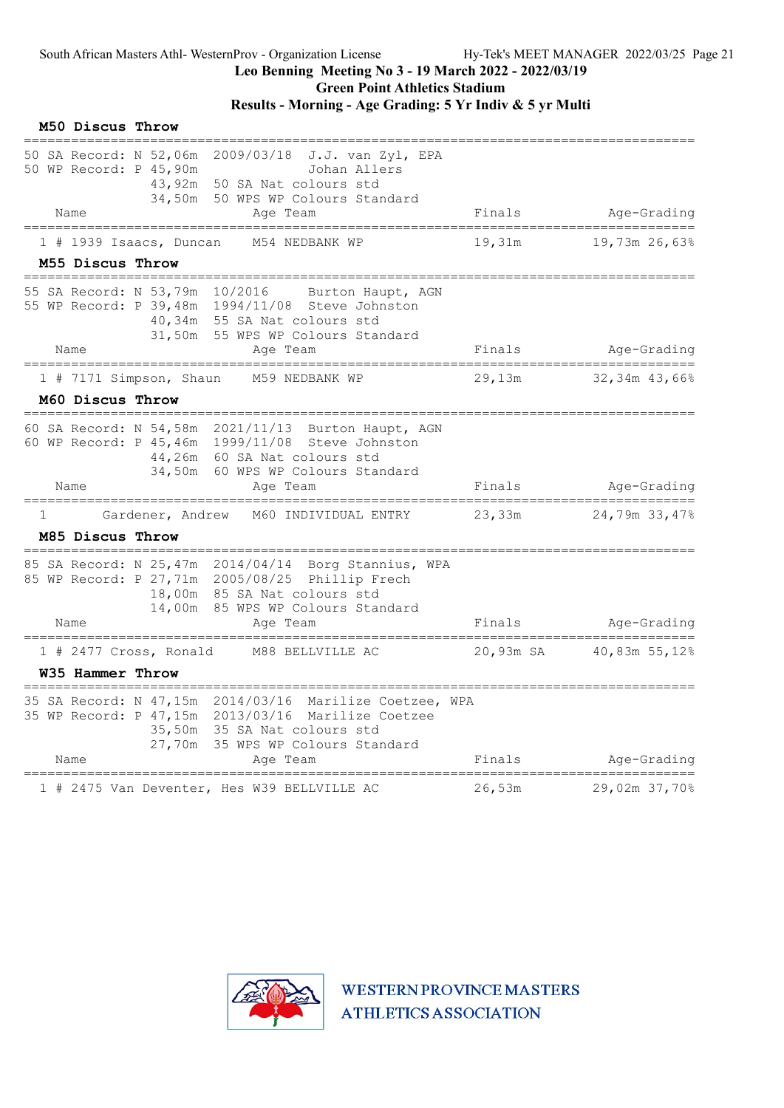Green Point Athletics Stadium

### Results - Morning - Age Grading: 5 Yr Indiv & 5 yr Multi

|   | M50 Discus Throw |                                                                      |                                                                                                                                                                                         |           |                         |
|---|------------------|----------------------------------------------------------------------|-----------------------------------------------------------------------------------------------------------------------------------------------------------------------------------------|-----------|-------------------------|
|   |                  | 50 SA Record: N 52,06m<br>50 WP Record: P 45,90m<br>43,92m<br>34,50m | 2009/03/18<br>J.J. van Zyl, EPA<br>Johan Allers<br>50 SA Nat colours std<br>50 WPS WP Colours Standard                                                                                  |           |                         |
|   | Name             |                                                                      | Age Team                                                                                                                                                                                | Finals    | Age-Grading             |
|   | M55 Discus Throw | 1 # 1939 Isaacs, Duncan                                              | M54 NEDBANK WP                                                                                                                                                                          | 19,31m    | 19,73m 26,63%           |
|   | Name             | 55 SA Record: N 53,79m 10/2016                                       | Burton Haupt, AGN<br>55 WP Record: P 39,48m 1994/11/08 Steve Johnston<br>40,34m 55 SA Nat colours std<br>31,50m 55 WPS WP Colours Standard<br>Age Team                                  | Finals    | Age-Grading             |
|   |                  |                                                                      | ==============                                                                                                                                                                          |           | ===================     |
|   |                  | 1 # 7171 Simpson, Shaun                                              | M59 NEDBANK WP                                                                                                                                                                          | 29,13m    | 32,34m 43,66%           |
|   | M60 Discus Throw |                                                                      |                                                                                                                                                                                         |           |                         |
|   |                  |                                                                      | 60 SA Record: N 54,58m 2021/11/13 Burton Haupt, AGN<br>60 WP Record: P 45,46m 1999/11/08 Steve Johnston<br>44,26m 60 SA Nat colours std<br>34,50m 60 WPS WP Colours Standard            |           |                         |
|   | Name             |                                                                      | Age Team                                                                                                                                                                                | Finals    | Age-Grading             |
| 1 |                  | Gardener, Andrew                                                     | M60 INDIVIDUAL ENTRY                                                                                                                                                                    | 23,33m    | 24,79m 33,47%           |
|   | M85 Discus Throw |                                                                      |                                                                                                                                                                                         |           |                         |
|   |                  | 14,00m                                                               | 85 SA Record: N 25,47m 2014/04/14 Borg Stannius, WPA<br>85 WP Record: P 27,71m 2005/08/25 Phillip Frech<br>18,00m 85 SA Nat colours std<br>85 WPS WP Colours Standard                   |           |                         |
|   | Name             | =======================                                              | Age Team                                                                                                                                                                                | Finals    | Age-Grading<br>-------- |
|   |                  | 1 # 2477 Cross, Ronald                                               | M88 BELLVILLE AC                                                                                                                                                                        | 20,93m SA | 40,83m 55,12%           |
|   | W35 Hammer Throw |                                                                      |                                                                                                                                                                                         |           |                         |
|   | Name             | 27,70m                                                               | 35 SA Record: N 47,15m 2014/03/16 Marilize Coetzee, WPA<br>35 WP Record: P 47,15m 2013/03/16 Marilize Coetzee<br>35,50m 35 SA Nat colours std<br>35 WPS WP Colours Standard<br>Age Team | Finals    | Age-Grading             |
|   |                  |                                                                      |                                                                                                                                                                                         |           |                         |
|   |                  |                                                                      | 1 # 2475 Van Deventer, Hes W39 BELLVILLE AC                                                                                                                                             | 26,53m    | 29,02m 37,70%           |

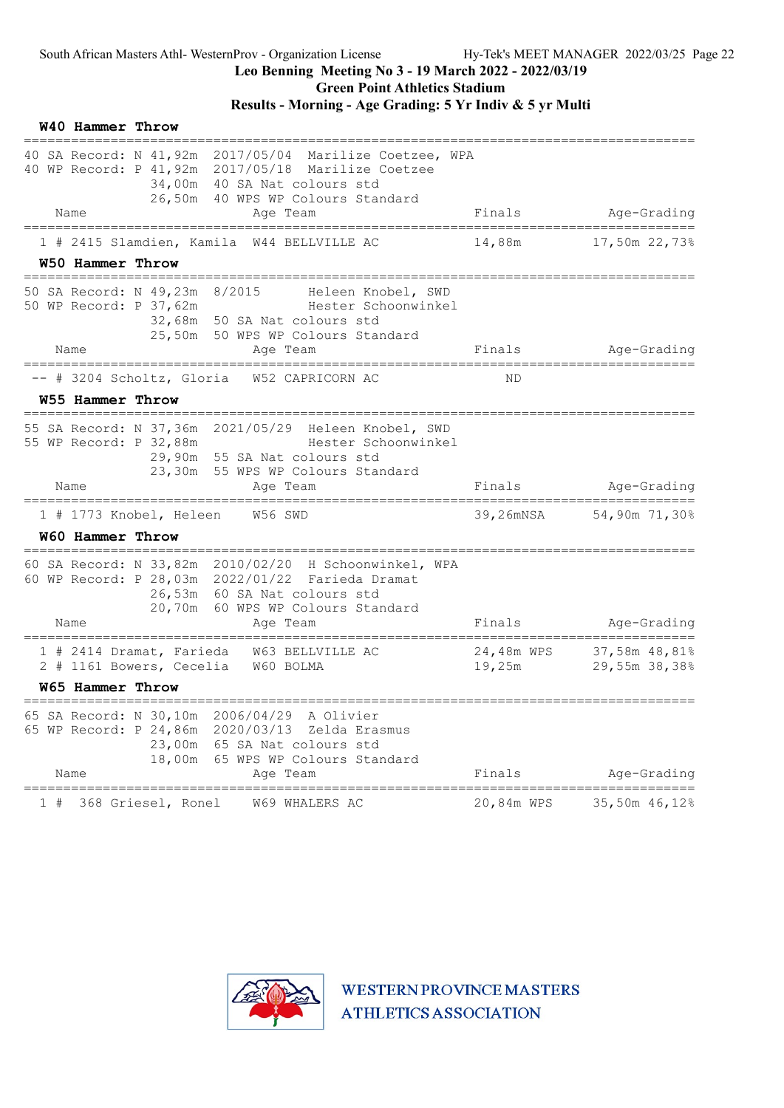## Results - Morning - Age Grading: 5 Yr Indiv & 5 yr Multi

|    | <b>W40 Hammer Throw</b> |                                                                                         |                                                                                                                                                                                            |            |                                           |
|----|-------------------------|-----------------------------------------------------------------------------------------|--------------------------------------------------------------------------------------------------------------------------------------------------------------------------------------------|------------|-------------------------------------------|
|    |                         |                                                                                         | 40 SA Record: N 41,92m 2017/05/04 Marilize Coetzee, WPA<br>40 WP Record: P 41, 92m 2017/05/18 Marilize Coetzee<br>34,00m 40 SA Nat colours std<br>26,50m 40 WPS WP Colours Standard        |            |                                           |
|    | Name                    |                                                                                         | Age Team                                                                                                                                                                                   | Finals     | Age-Grading                               |
|    | W50 Hammer Throw        |                                                                                         | 1 # 2415 Slamdien, Kamila W44 BELLVILLE AC                                                                                                                                                 | 14,88m     | 17,50m 22,73%                             |
|    |                         | ============================<br>50 SA Record: N 49,23m 8/2015<br>50 WP Record: P 37,62m | Heleen Knobel, SWD<br>Hester Schoonwinkel<br>32,68m 50 SA Nat colours std<br>25,50m 50 WPS WP Colours Standard                                                                             |            |                                           |
|    | Name                    | ================================                                                        | Age Team                                                                                                                                                                                   | Finals     | Age-Grading                               |
|    |                         |                                                                                         | -- # 3204 Scholtz, Gloria W52 CAPRICORN AC                                                                                                                                                 | ND         |                                           |
|    | W55 Hammer Throw        |                                                                                         |                                                                                                                                                                                            |            |                                           |
|    | Name                    | 55 WP Record: P 32,88m                                                                  | 55 SA Record: N 37,36m 2021/05/29 Heleen Knobel, SWD<br>Hester Schoonwinkel<br>29,90m 55 SA Nat colours std<br>23,30m 55 WPS WP Colours Standard<br>Age Team                               |            | Finals Age-Grading                        |
|    |                         |                                                                                         |                                                                                                                                                                                            |            | ==============                            |
|    | W60 Hammer Throw        |                                                                                         | 1 # 1773 Knobel, Heleen W56 SWD                                                                                                                                                            |            | 39,26mNSA 54,90m 71,30%                   |
|    | Name                    | --------------------                                                                    | 60 SA Record: N 33,82m 2010/02/20 H Schoonwinkel, WPA<br>60 WP Record: P 28,03m 2022/01/22 Farieda Dramat<br>26,53m 60 SA Nat colours std<br>20,70m 60 WPS WP Colours Standard<br>Age Team | Finals     | Age-Grading                               |
|    |                         |                                                                                         | 1 # 2414 Dramat, Farieda W63 BELLVILLE AC<br>2 # 1161 Bowers, Cecelia W60 BOLMA                                                                                                            | 19,25m     | 24,48m WPS 37,58m 48,81%<br>29,55m 38,38% |
|    | <b>W65 Hammer Throw</b> |                                                                                         |                                                                                                                                                                                            |            |                                           |
|    | Name                    | ;=========================<br>18,00m                                                    | 65 SA Record: N 30,10m 2006/04/29 A Olivier<br>65 WP Record: P 24,86m 2020/03/13<br>Zelda Erasmus<br>23,00m 65 SA Nat colours std<br>65 WPS WP Colours Standard<br>Age Team                | Finals     | Age-Grading                               |
| 1# |                         | 368 Griesel, Ronel                                                                      | W69 WHALERS AC                                                                                                                                                                             | 20,84m WPS | 35,50m 46,12%                             |

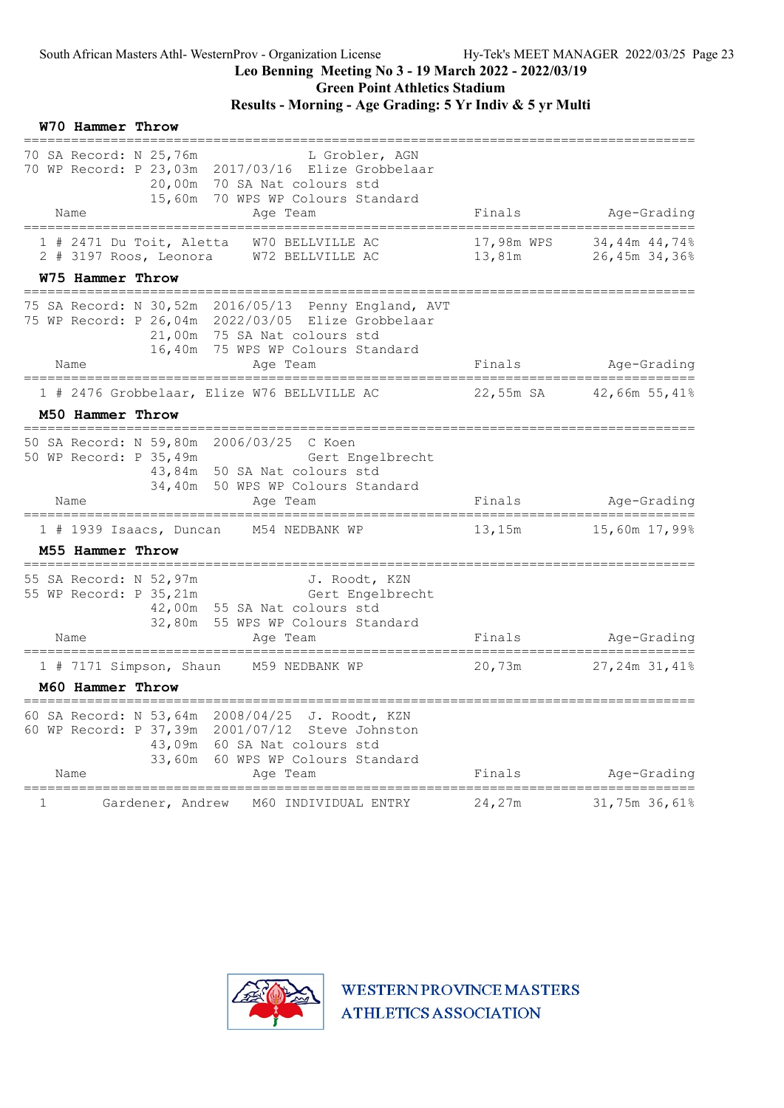W70 Hammer Throw

## Leo Benning Meeting No 3 - 19 March 2022 - 2022/03/19

Green Point Athletics Stadium

## Results - Morning - Age Grading: 5 Yr Indiv & 5 yr Multi

| 70 SA Record: N 25,76m<br>L Grobler, AGN<br>70 WP Record: P 23,03m 2017/03/16 Elize Grobbelaar<br>20,00m 70 SA Nat colours std<br>15,60m 70 WPS WP Colours Standard<br>Name<br>Age Team          | Finals                 | Age-Grading                           |
|--------------------------------------------------------------------------------------------------------------------------------------------------------------------------------------------------|------------------------|---------------------------------------|
| 1 # 2471 Du Toit, Aletta<br>W70 BELLVILLE AC<br>2 # 3197 Roos, Leonora<br>W72 BELLVILLE AC                                                                                                       | 17,98m WPS<br>13,81m   | 34,44m 44,74%<br>26,45m 34,36%        |
| W75 Hammer Throw                                                                                                                                                                                 |                        |                                       |
| SA Record: N 30,52m 2016/05/13 Penny England, AVT<br>75 WP Record: P 26,04m 2022/03/05 Elize Grobbelaar<br>21,00m 75 SA Nat colours std<br>16,40m 75 WPS WP Colours Standard<br>Name<br>Age Team | Finals                 | Age-Grading                           |
| =====================                                                                                                                                                                            | ================       |                                       |
| 1 # 2476 Grobbelaar, Elize W76 BELLVILLE AC<br>M50 Hammer Throw                                                                                                                                  | 22,55m SA              | 42,66m 55,41%                         |
|                                                                                                                                                                                                  |                        |                                       |
| 50 SA Record: N 59,80m 2006/03/25 C Koen<br>50 WP Record: P 35,49m<br>Gert Engelbrecht<br>43,84m 50 SA Nat colours std<br>34,40m 50 WPS WP Colours Standard                                      |                        |                                       |
| Name<br>Age Team                                                                                                                                                                                 | Finals                 | Age-Grading                           |
| 1 # 1939 Isaacs, Duncan<br>M54 NEDBANK WP                                                                                                                                                        | 13,15m                 | 15,60m 17,99%                         |
| M55 Hammer Throw                                                                                                                                                                                 |                        |                                       |
| 55 SA Record: N 52,97m<br>J. Roodt, KZN<br>55 WP Record: P 35,21m<br>Gert Engelbrecht<br>42,00m 55 SA Nat colours std<br>32,80m 55 WPS WP Colours Standard                                       |                        |                                       |
| Name<br>Age Team<br>:==============                                                                                                                                                              | Finals<br>============ | Age-Grading<br>:===================== |
| ======================<br>1 # 7171 Simpson, Shaun<br>M59 NEDBANK WP                                                                                                                              | 20,73m                 | 27,24m 31,41%                         |
| M60 Hammer Throw                                                                                                                                                                                 |                        |                                       |
| 60 SA Record: N 53,64m 2008/04/25 J. Roodt, KZN<br>60 WP Record: P 37,39m 2001/07/12 Steve Johnston<br>43,09m 60 SA Nat colours std<br>33,60m 60 WPS WP Colours Standard<br>Name<br>Age Team     | Finals                 | Age-Grading                           |
| 1<br>Gardener, Andrew<br>M60 INDIVIDUAL ENTRY                                                                                                                                                    | 24,27m                 | 31,75m 36,61%                         |
|                                                                                                                                                                                                  |                        |                                       |

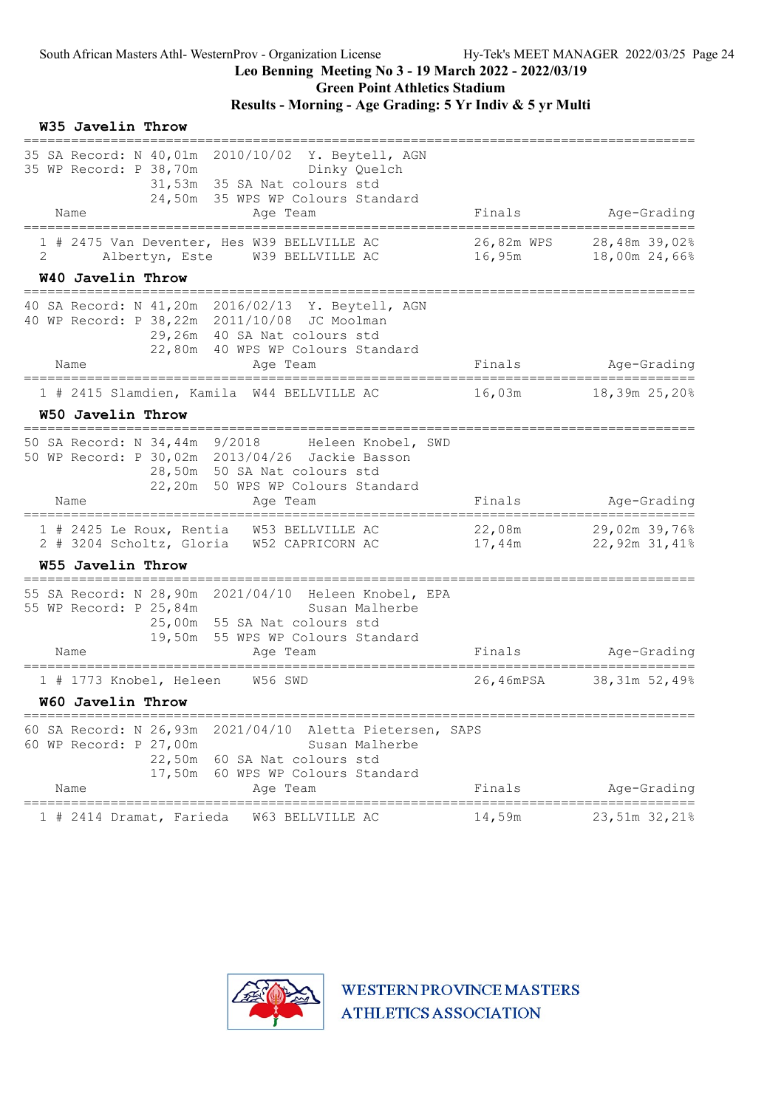Green Point Athletics Stadium

| W35 Javelin Throw                                                                                                                                                                                                                    |                                                 |                                       |
|--------------------------------------------------------------------------------------------------------------------------------------------------------------------------------------------------------------------------------------|-------------------------------------------------|---------------------------------------|
| 35 SA Record: N 40,01m 2010/10/02 Y. Beytell, AGN<br>35 WP Record: P 38,70m<br>Dinky Quelch<br>31,53m 35 SA Nat colours std<br>24,50m 35 WPS WP Colours Standard<br>Name<br>Age Team<br>===================                          | Finals                                          | Age-Grading<br>=======                |
| 1 # 2475 Van Deventer, Hes W39 BELLVILLE AC<br>2<br>Albertyn, Este W39 BELLVILLE AC<br>W40 Javelin Throw                                                                                                                             | 26,82m WPS<br>16,95m                            | 28,48m 39,02%<br>18,00m 24,66%        |
| _____________________________________<br>40 SA Record: N 41,20m 2016/02/13 Y. Beytell, AGN<br>40 WP Record: P 38, 22m 2011/10/08 JC Moolman<br>29,26m 40 SA Nat colours std<br>22,80m 40 WPS WP Colours Standard<br>Name<br>Age Team | Finals                                          | Age-Grading                           |
| ;=======================<br>=====================================<br>1 # 2415 Slamdien, Kamila W44 BELLVILLE AC                                                                                                                      | 16,03m                                          | ====================<br>18,39m 25,20% |
| W50 Javelin Throw                                                                                                                                                                                                                    |                                                 |                                       |
| 50 SA Record: N 34,44m 9/2018<br>Heleen Knobel, SWD<br>50 WP Record: P 30,02m 2013/04/26 Jackie Basson<br>28,50m 50 SA Nat colours std<br>22,20m 50 WPS WP Colours Standard<br>Name<br>Aqe Team                                      | Finals                                          | Age-Grading                           |
| 1 # 2425 Le Roux, Rentia W53 BELLVILLE AC<br>2 # 3204 Scholtz, Gloria W52 CAPRICORN AC<br>W55 Javelin Throw                                                                                                                          | 22,08m<br>17,44m                                | 29,02m 39,76%<br>22,92m 31,41%        |
| 55 SA Record: N 28,90m 2021/04/10 Heleen Knobel, EPA<br>55 WP Record: P 25,84m<br>Susan Malherbe<br>25,00m 55 SA Nat colours std<br>19,50m 55 WPS WP Colours Standard<br>Name<br>Age Team                                            | Finals                                          | Age-Grading                           |
| 1 # 1773 Knobel, Heleen<br>W56 SWD<br>W60 Javelin Throw                                                                                                                                                                              | 26,46mPSA                                       | 38,31m 52,49%                         |
| =================================<br>60 SA Record: N 26,93m 2021/04/10 Aletta Pietersen, SAPS<br>60 WP Record: P 27,00m<br>Susan Malherbe<br>22,50m 60 SA Nat colours std<br>17,50m 60 WPS WP Colours Standard<br>Name<br>Age Team   | Finals                                          | Age-Grading                           |
| _________________________<br>1 # 2414 Dramat, Farieda<br>W63 BELLVILLE AC                                                                                                                                                            | -------------------------------------<br>14,59m | 23,51m 32,21%                         |

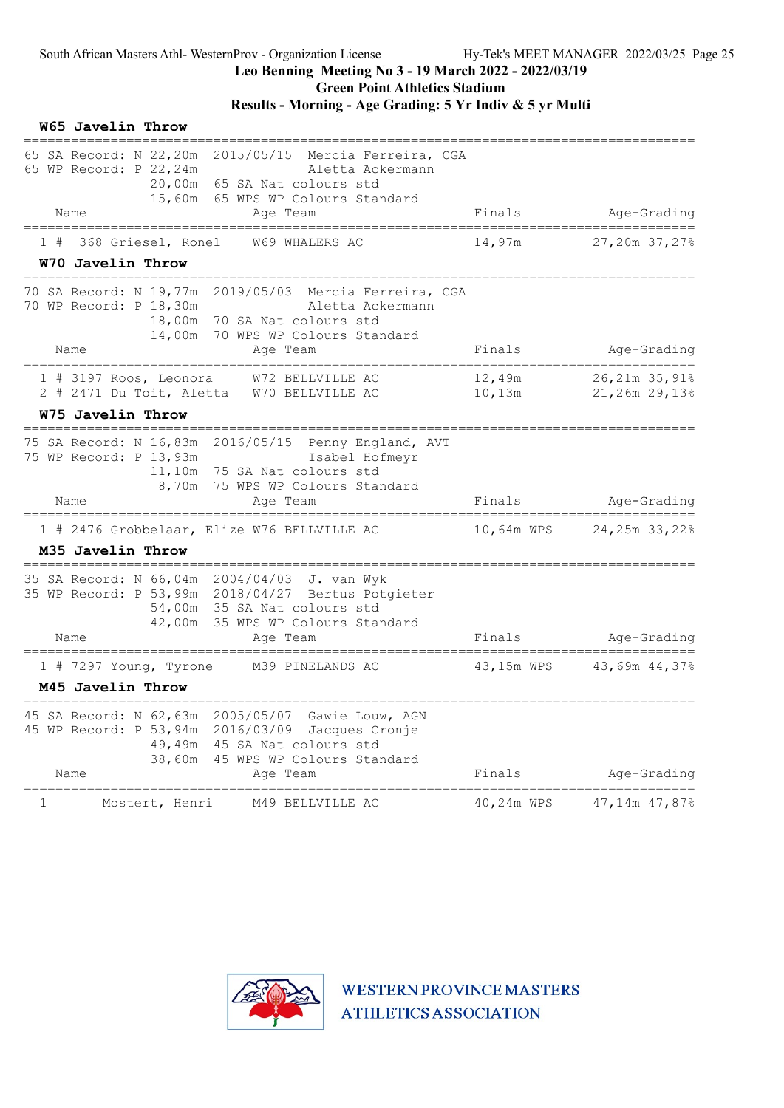Green Point Athletics Stadium

## Results - Morning - Age Grading: 5 Yr Indiv & 5 yr Multi

| W65 Javelin Throw                                                                                                                                                                                          |                                                          |
|------------------------------------------------------------------------------------------------------------------------------------------------------------------------------------------------------------|----------------------------------------------------------|
| 65 SA Record: N 22,20m 2015/05/15 Mercia Ferreira, CGA<br>65 WP Record: P 22,24m<br>Aletta Ackermann<br>20,00m 65 SA Nat colours std<br>15,60m 65 WPS WP Colours Standard<br>Name<br>Age Team              | Age-Grading<br>Finals                                    |
| =====================<br>368 Griesel, Ronel<br>W69 WHALERS AC<br>1#                                                                                                                                        | 14,97m<br>27,20m 37,27%                                  |
| W70 Javelin Throw                                                                                                                                                                                          |                                                          |
| 70 SA Record: N 19,77m 2019/05/03 Mercia Ferreira, CGA<br>70 WP Record: P 18,30m<br>Aletta Ackermann<br>18,00m 70 SA Nat colours std<br>14,00m 70 WPS WP Colours Standard                                  |                                                          |
| Name<br>Age Team                                                                                                                                                                                           | Age-Grading<br>Finals                                    |
| W72 BELLVILLE AC<br>$1$ # 3197 Roos, Leonora<br>2 # 2471 Du Toit, Aletta W70 BELLVILLE AC                                                                                                                  | 12,49m<br>26,21m 35,91%<br>$10$ , $13m$<br>21,26m 29,13% |
| W75 Javelin Throw                                                                                                                                                                                          |                                                          |
| 75 SA Record: N 16,83m 2016/05/15 Penny England, AVT<br>75 WP Record: P 13,93m<br>Isabel Hofmeyr<br>11,10m 75 SA Nat colours std<br>8,70m 75 WPS WP Colours Standard<br>Name<br>Age Team                   | Finals<br>Age-Grading                                    |
| 1 # 2476 Grobbelaar, Elize W76 BELLVILLE AC                                                                                                                                                                | 10,64m WPS 24,25m 33,22%                                 |
| M35 Javelin Throw                                                                                                                                                                                          |                                                          |
| 35 SA Record: N 66,04m 2004/04/03 J. van Wyk<br>35 WP Record: P 53,99m 2018/04/27 Bertus Potgieter<br>54,00m 35 SA Nat colours std<br>42,00m 35 WPS WP Colours Standard                                    |                                                          |
| Name<br>Age Team                                                                                                                                                                                           | Finals<br>Age-Grading                                    |
| 1 # 7297 Young, Tyrone<br>M39 PINELANDS AC                                                                                                                                                                 | 43,15m WPS 43,69m 44,37%                                 |
| M45 Javelin Throw                                                                                                                                                                                          |                                                          |
| 2005/05/07<br>Gawie Louw, AGN<br>45 SA Record: N 62,63m<br>45 WP Record: P 53,94m 2016/03/09<br>Jacques Cronje<br>49,49m 45 SA Nat colours std<br>45 WPS WP Colours Standard<br>38,60m<br>Name<br>Age Team | Finals<br>Age-Grading                                    |
| =======================                                                                                                                                                                                    | -------------------------------<br>$===$                 |
| 1<br>M49 BELLVILLE AC<br>Mostert, Henri                                                                                                                                                                    | 40,24m WPS<br>47,14m 47,87%                              |

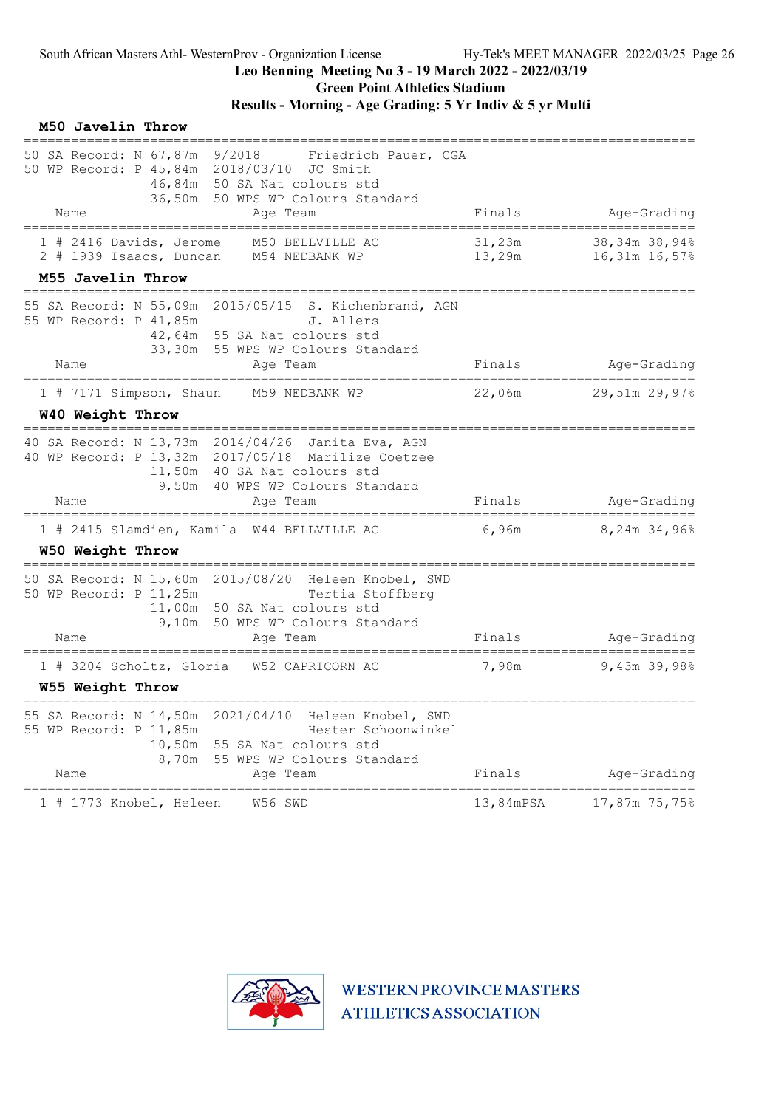### Results - Morning - Age Grading: 5 Yr Indiv & 5 yr Multi

|    | M50 Javelin Throw                                                           |                                                                                                                                                                             |                                  |                                    |
|----|-----------------------------------------------------------------------------|-----------------------------------------------------------------------------------------------------------------------------------------------------------------------------|----------------------------------|------------------------------------|
|    | 50 SA Record: N 67,87m 9/2018<br>Name                                       | Friedrich Pauer, CGA<br>50 WP Record: P 45,84m 2018/03/10 JC Smith<br>46,84m 50 SA Nat colours std<br>36,50m 50 WPS WP Colours Standard<br>Age Team                         | Finals                           | Age-Grading                        |
|    |                                                                             |                                                                                                                                                                             |                                  |                                    |
|    | 1 # 2416 Davids, Jerome                                                     | M50 BELLVILLE AC<br>2 # 1939 Isaacs, Duncan M54 NEDBANK WP                                                                                                                  | 31,23m<br>13,29m                 | 38,34m 38,94%<br>16,31m 16,57%     |
|    | M55 Javelin Throw                                                           |                                                                                                                                                                             |                                  |                                    |
|    | 55 WP Record: P 41,85m                                                      | 55 SA Record: N 55,09m 2015/05/15 S. Kichenbrand, AGN<br>J. Allers<br>42,64m 55 SA Nat colours std<br>33,30m 55 WPS WP Colours Standard                                     |                                  |                                    |
|    | Name<br>====================================                                | Age Team<br>.================                                                                                                                                               | Finals                           | Age-Grading<br>=================== |
|    |                                                                             | 1 # 7171 Simpson, Shaun M59 NEDBANK WP                                                                                                                                      | 22,06m                           | 29,51m 29,97%                      |
|    | W40 Weight Throw                                                            |                                                                                                                                                                             |                                  |                                    |
|    |                                                                             | 40 SA Record: N 13,73m 2014/04/26 Janita Eva, AGN<br>40 WP Record: P 13,32m 2017/05/18 Marilize Coetzee<br>11,50m 40 SA Nat colours std<br>9,50m 40 WPS WP Colours Standard |                                  |                                    |
|    | Name                                                                        | Aqe Team                                                                                                                                                                    | Finals                           | Age-Grading                        |
|    |                                                                             | 1 # 2415 Slamdien, Kamila W44 BELLVILLE AC                                                                                                                                  | 6,96m                            | 8,24m 34,96%                       |
|    | W50 Weight Throw                                                            |                                                                                                                                                                             |                                  |                                    |
|    | 50 WP Record: P 11,25m                                                      | 50 SA Record: N 15,60m 2015/08/20 Heleen Knobel, SWD<br>Tertia Stoffberg<br>11,00m 50 SA Nat colours std<br>9,10m 50 WPS WP Colours Standard                                |                                  |                                    |
|    | Name                                                                        | Age Team                                                                                                                                                                    | Finals                           | Age-Grading                        |
|    |                                                                             | 1 # 3204 Scholtz, Gloria W52 CAPRICORN AC                                                                                                                                   | 7,98m                            | 9,43m 39,98%                       |
|    | W55 Weight Throw                                                            |                                                                                                                                                                             |                                  |                                    |
|    | 55 SA Record: N 14,50m<br>55 WP Record: P 11,85m<br>10,50m<br>8,70m<br>Name | Heleen Knobel, SWD<br>2021/04/10<br>Hester Schoonwinkel<br>55 SA Nat colours std<br>55 WPS WP Colours Standard<br>Age Team                                                  | Finals                           | Age-Grading                        |
| 1# | 1773 Knobel, Heleen                                                         | ==================<br>W56 SWD                                                                                                                                               | ===================<br>13,84mPSA | 17,87m 75,75%                      |

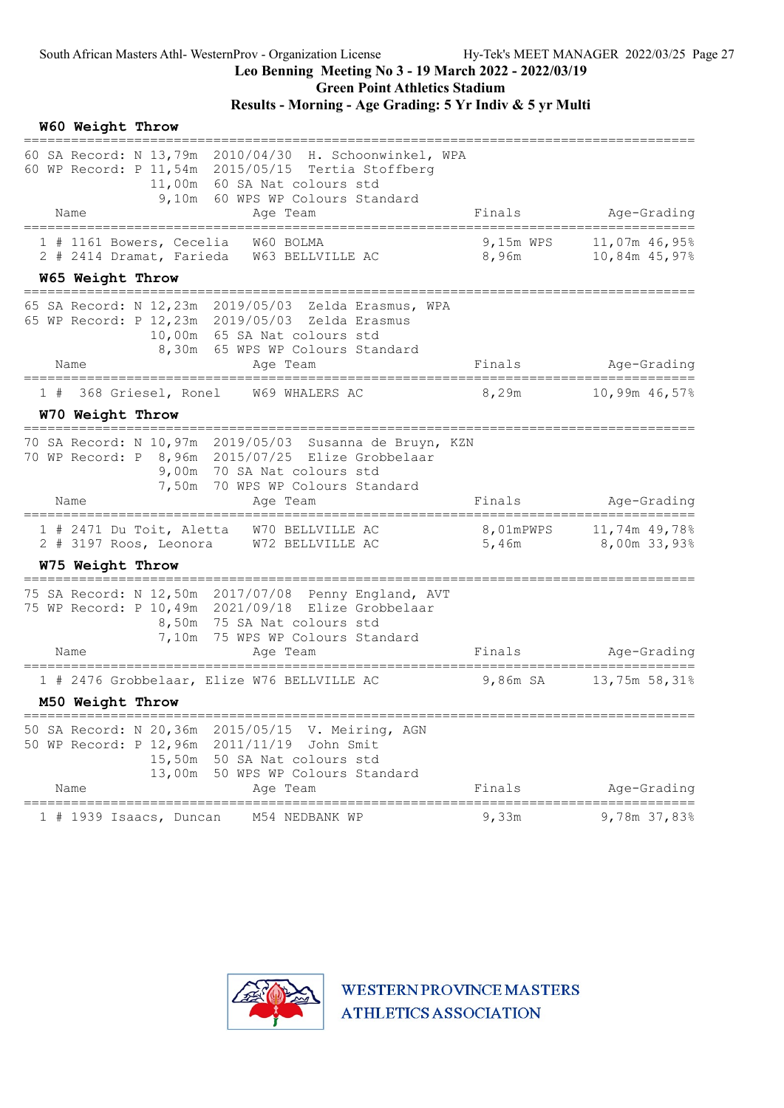|    | W60 Weight Throw            |                                                        |                                                                                                                                                                                  |                    |                                   |
|----|-----------------------------|--------------------------------------------------------|----------------------------------------------------------------------------------------------------------------------------------------------------------------------------------|--------------------|-----------------------------------|
|    | ==============              |                                                        | 60 SA Record: N 13,79m 2010/04/30 H. Schoonwinkel, WPA<br>60 WP Record: P 11,54m 2015/05/15 Tertia Stoffberg<br>11,00m 60 SA Nat colours std<br>9,10m 60 WPS WP Colours Standard |                    |                                   |
|    | Name                        |                                                        | Age Team                                                                                                                                                                         | Finals             | Age-Grading<br>_______            |
|    |                             | 1 # 1161 Bowers, Cecelia                               | W60 BOLMA<br>2 # 2414 Dramat, Farieda W63 BELLVILLE AC                                                                                                                           | 9,15m WPS<br>8,96m | 11,07m 46,95%<br>10,84m 45,97%    |
|    | W65 Weight Throw            |                                                        |                                                                                                                                                                                  |                    |                                   |
|    |                             |                                                        | 65 SA Record: N 12,23m 2019/05/03 Zelda Erasmus, WPA<br>65 WP Record: P 12, 23m 2019/05/03 Zelda Erasmus<br>10,00m 65 SA Nat colours std<br>8,30m 65 WPS WP Colours Standard     |                    |                                   |
|    | Name<br>=================== |                                                        | Age Team                                                                                                                                                                         | Finals             | Age-Grading<br>================== |
| 1# | W70 Weight Throw            | 368 Griesel, Ronel                                     | W69 WHALERS AC                                                                                                                                                                   | 8,29m              | 10,99m 46,57%                     |
|    |                             | 7,50m                                                  | 70 SA Record: N 10,97m 2019/05/03 Susanna de Bruyn, KZN<br>70 WP Record: P 8,96m 2015/07/25 Elize Grobbelaar<br>9,00m 70 SA Nat colours std<br>70 WPS WP Colours Standard        |                    |                                   |
|    | Name                        |                                                        | Age Team                                                                                                                                                                         | Finals             | Age-Grading                       |
|    |                             | $1$ # 2471 Du Toit, Aletta<br>$2$ # 3197 Roos, Leonora | W70 BELLVILLE AC<br>W72 BELLVILLE AC                                                                                                                                             | 8,01mPWPS<br>5,46m | 11,74m 49,78%<br>8,00m 33,93%     |
|    | W75 Weight Throw            |                                                        |                                                                                                                                                                                  |                    |                                   |
|    |                             |                                                        | 75 SA Record: N 12,50m 2017/07/08 Penny England, AVT<br>75 WP Record: P 10,49m 2021/09/18 Elize Grobbelaar<br>8,50m 75 SA Nat colours std<br>7,10m 75 WPS WP Colours Standard    |                    |                                   |
|    | Name                        |                                                        | Age Team                                                                                                                                                                         | Finals             | Age-Grading                       |
|    | M50 Weight Throw            |                                                        | 1 # 2476 Grobbelaar, Elize W76 BELLVILLE AC                                                                                                                                      | 9,86m SA           | 13,75m 58,31%                     |
|    |                             |                                                        | 50 SA Record: N 20,36m 2015/05/15 V. Meiring, AGN<br>50 WP Record: P 12,96m 2011/11/19 John Smit<br>15,50m 50 SA Nat colours std<br>13,00m 50 WPS WP Colours Standard            |                    |                                   |
|    | Name                        |                                                        | Age Team                                                                                                                                                                         | Finals             | Age-Grading                       |
|    |                             | $1$ # 1939 Isaacs, Duncan                              | M54 NEDBANK WP                                                                                                                                                                   | 9,33m              | 9,78m 37,83%                      |

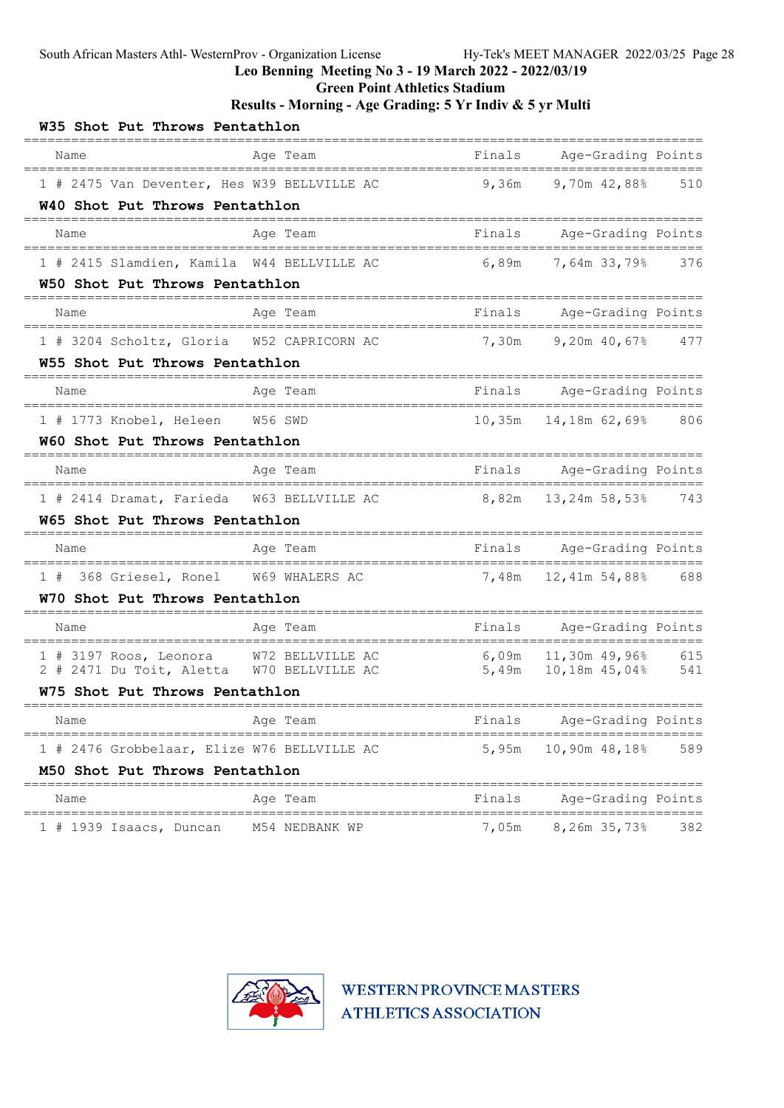Green Point Athletics Stadium

Results - Morning - Age Grading: 5 Yr Indiv & 5 yr Multi

| W35 Shot Put Throws Pentathlon                                              |                                      |        |                                             |     |
|-----------------------------------------------------------------------------|--------------------------------------|--------|---------------------------------------------|-----|
| Name                                                                        | Age Team                             | Finals | Age-Grading Points                          |     |
| 1 # 2475 Van Deventer, Hes W39 BELLVILLE AC                                 |                                      | 9,36m  | $9,70m$ 42,88%                              | 510 |
| W40 Shot Put Throws Pentathlon                                              |                                      |        |                                             |     |
| Name                                                                        | Age Team                             | Finals | Age-Grading Points                          |     |
| 1 # 2415 Slamdien, Kamila W44 BELLVILLE AC                                  |                                      | 6,89m  | 7,64m 33,79%                                | 376 |
| W50 Shot Put Throws Pentathlon                                              |                                      |        |                                             |     |
| Name                                                                        | Age Team                             | Finals | Age-Grading Points                          |     |
| 1 # 3204 Scholtz, Gloria W52 CAPRICORN AC                                   |                                      | 7,30m  | $9,20m$ 40,67% 477                          |     |
| W55 Shot Put Throws Pentathlon                                              |                                      |        |                                             |     |
| Name                                                                        | Age Team                             | Finals | Age-Grading Points<br>===================== |     |
| 1 # 1773 Knobel, Heleen W56 SWD                                             |                                      | 10,35m | 14,18m 62,69% 806                           |     |
| W60 Shot Put Throws Pentathlon                                              |                                      |        |                                             |     |
| Name                                                                        | Age Team                             | Finals | Age-Grading Points<br>===================== |     |
| 1 # 2414 Dramat, Farieda W63 BELLVILLE AC                                   |                                      | 8,82m  | 13,24m 58,53% 743                           |     |
| <b>W65 Shot Put Throws Pentathlon</b>                                       |                                      |        |                                             |     |
| Name                                                                        | Age Team                             | Finals | Age-Grading Points                          |     |
| 368 Griesel, Ronel W69 WHALERS AC<br>1#                                     |                                      | 7,48m  | 12,41m 54,88% 688                           |     |
| W70 Shot Put Throws Pentathlon                                              |                                      |        |                                             |     |
| Name                                                                        | Age Team                             |        | Finals Age-Grading Points<br>======         |     |
| 1 # 3197 Roos, Leonora W72 BELLVILLE AC                                     |                                      |        | $6,09m$ 11,30m 49,96%                       | 615 |
| 2 # 2471 Du Toit, Aletta W70 BELLVILLE AC<br>W75 Shot Put Throws Pentathlon |                                      |        | 5,49m 10,18m 45,04%                         | 541 |
|                                                                             |                                      |        |                                             |     |
| Name                                                                        | Age Team                             | Finals | Age-Grading Points                          |     |
| 1 # 2476 Grobbelaar, Elize W76 BELLVILLE AC                                 |                                      | 5,95m  | 10,90m 48,18%                               | 589 |
| M50 Shot Put Throws Pentathlon                                              |                                      |        |                                             |     |
| Name<br>====================================                                | Age Team<br>======================== | Finals | Age-Grading Points<br>===========           |     |
| 1 # 1939 Isaacs, Duncan                                                     | M54 NEDBANK WP                       | 7,05m  | 8,26m 35,73%                                | 382 |

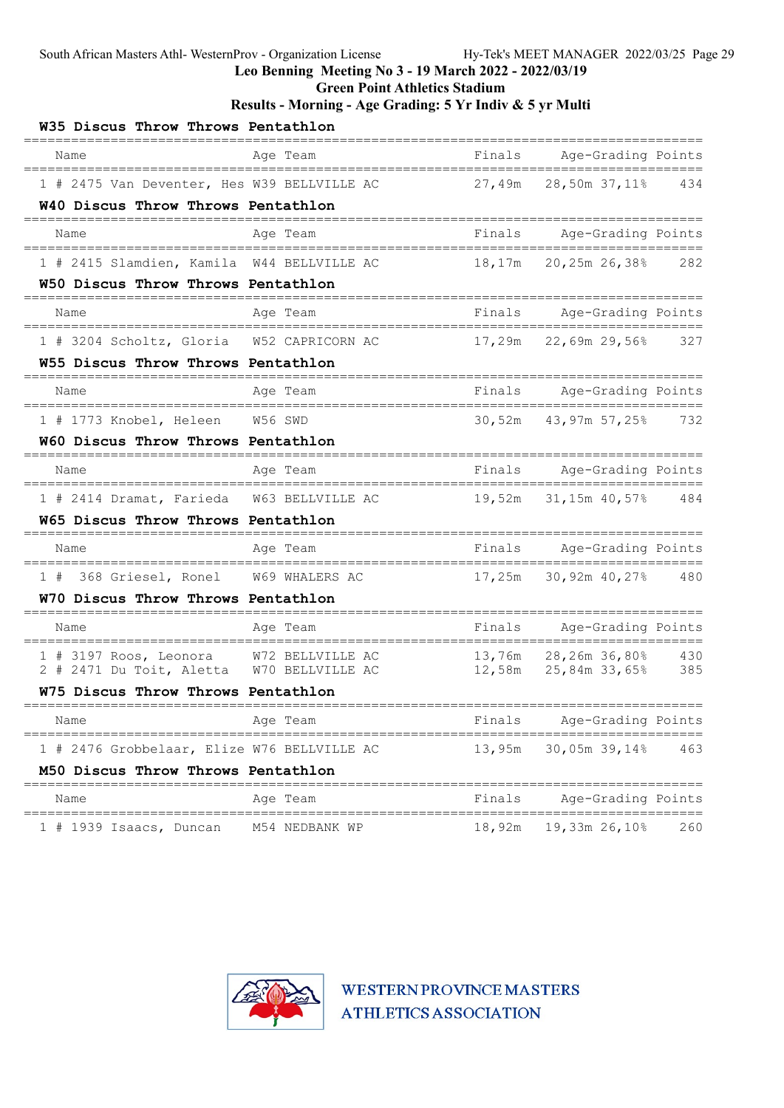Green Point Athletics Stadium

### Results - Morning - Age Grading: 5 Yr Indiv & 5 yr Multi

| W35 Discus Throw Throws Pentathlon                                              |                                   |        |                                              |     |
|---------------------------------------------------------------------------------|-----------------------------------|--------|----------------------------------------------|-----|
| Name                                                                            | Age Team                          | Finals | Age-Grading Points                           |     |
| 1 # 2475 Van Deventer, Hes W39 BELLVILLE AC                                     |                                   | 27,49m | 28,50m 37,11%                                | 434 |
| W40 Discus Throw Throws Pentathlon                                              |                                   |        |                                              |     |
| Name                                                                            | Age Team                          | Finals | Age-Grading Points                           |     |
| 1 # 2415 Slamdien, Kamila W44 BELLVILLE AC                                      |                                   | 18,17m | 20,25m 26,38%                                | 282 |
| W50 Discus Throw Throws Pentathlon                                              |                                   |        |                                              |     |
| Name                                                                            | Age Team                          | Finals | Age-Grading Points                           |     |
| 1 # 3204 Scholtz, Gloria W52 CAPRICORN AC                                       |                                   | 17,29m | 22,69m 29,56%                                | 327 |
| W55 Discus Throw Throws Pentathlon                                              |                                   |        |                                              |     |
| Name                                                                            | Age Team                          | Finals | Age-Grading Points<br>=====================  |     |
| 1 # 1773 Knobel, Heleen W56 SWD                                                 |                                   | 30,52m | 43,97m 57,25% 732                            |     |
| W60 Discus Throw Throws Pentathlon                                              |                                   |        |                                              |     |
| Name                                                                            | Age Team                          | Finals | Age-Grading Points<br>====================== |     |
| 1 # 2414 Dramat, Farieda W63 BELLVILLE AC                                       |                                   | 19,52m | 31,15m 40,57% 484                            |     |
| <b>W65 Discus Throw Throws Pentathlon</b>                                       |                                   |        |                                              |     |
| Name                                                                            | Age Team                          | Finals | Age-Grading Points                           |     |
| 1 # 368 Griesel, Ronel W69 WHALERS AC                                           |                                   | 17,25m | 30,92m 40,27% 480                            |     |
| W70 Discus Throw Throws Pentathlon                                              |                                   |        |                                              |     |
| Name                                                                            | Age Team                          | Finals | Age-Grading Points<br>=======<br>======      |     |
| 1 # 3197 Roos, Leonora W72 BELLVILLE AC                                         |                                   |        | 13,76m 28,26m 36,80% 430                     |     |
| 2 # 2471 Du Toit, Aletta W70 BELLVILLE AC<br>W75 Discus Throw Throws Pentathlon |                                   |        |                                              | 385 |
|                                                                                 |                                   |        |                                              |     |
| Name                                                                            | Age Team                          | Finals | Age-Grading Points                           |     |
| 1 # 2476 Grobbelaar, Elize W76 BELLVILLE AC                                     |                                   | 13,95m | 30,05m 39,14%                                | 463 |
| M50 Discus Throw Throws Pentathlon                                              | ================================= |        |                                              |     |
| Name                                                                            | Age Team                          | Finals | Age-Grading Points<br>================       |     |
| $1$ # 1939 Isaacs, Duncan                                                       | M54 NEDBANK WP                    | 18,92m | 19,33m 26,10%                                | 260 |

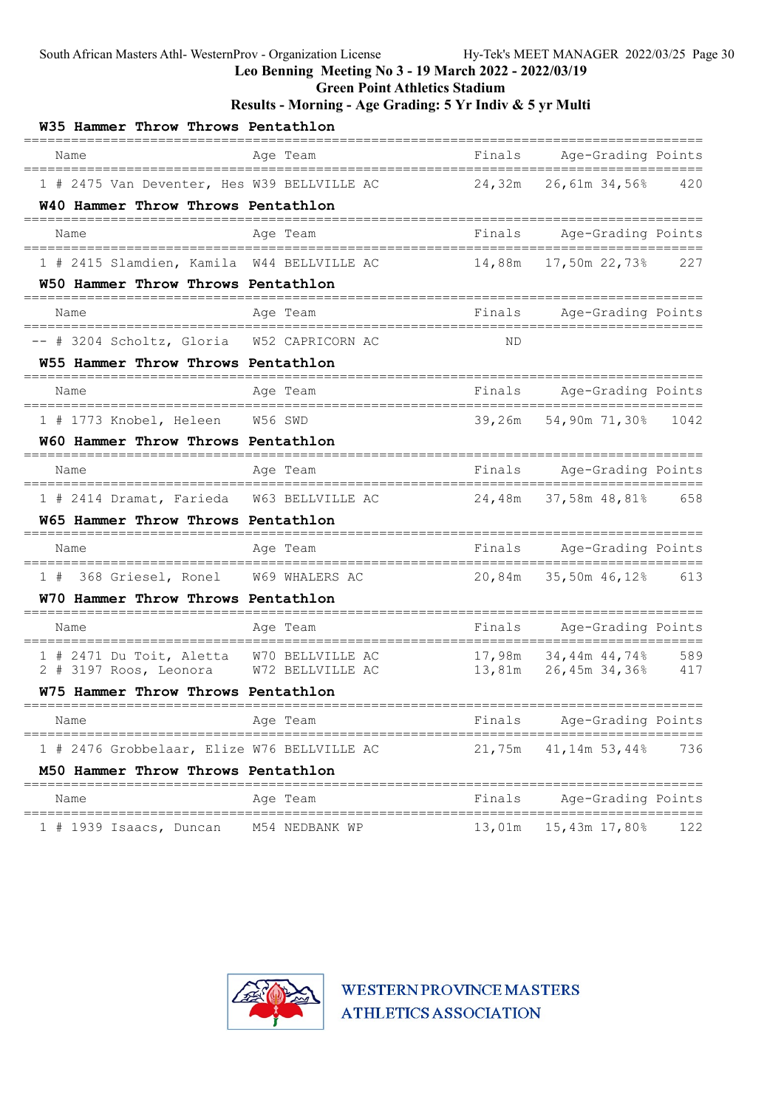Green Point Athletics Stadium

### Results - Morning - Age Grading: 5 Yr Indiv & 5 yr Multi

| W35 Hammer Throw Throws Pentathlon                                            |                            |           |                                               |     |
|-------------------------------------------------------------------------------|----------------------------|-----------|-----------------------------------------------|-----|
| Name                                                                          | Age Team<br>-------------- | Finals    | Age-Grading Points                            |     |
| 1 # 2475 Van Deventer, Hes W39 BELLVILLE AC                                   |                            | 24,32m    | 26,61m 34,56%                                 | 420 |
| W40 Hammer Throw Throws Pentathlon                                            |                            |           |                                               |     |
| Name                                                                          | Age Team                   | Finals    | Age-Grading Points                            |     |
| 1 # 2415 Slamdien, Kamila W44 BELLVILLE AC                                    |                            | 14,88m    | 17,50m 22,73%                                 | 227 |
| W50 Hammer Throw Throws Pentathlon                                            |                            |           |                                               |     |
| Name                                                                          | Age Team                   |           | Finals Age-Grading Points                     |     |
| -- # 3204 Scholtz, Gloria W52 CAPRICORN AC                                    |                            | <b>ND</b> |                                               |     |
| W55 Hammer Throw Throws Pentathlon                                            |                            |           |                                               |     |
| Name                                                                          | Age Team                   | Finals    | Age-Grading Points<br>=====================   |     |
| 1 # 1773 Knobel, Heleen W56 SWD                                               |                            | 39,26m    | 54,90m 71,30% 1042                            |     |
| W60 Hammer Throw Throws Pentathlon                                            |                            |           |                                               |     |
| Name                                                                          | Age Team                   | Finals    | Age-Grading Points<br>======================= |     |
| 1 # 2414 Dramat, Farieda W63 BELLVILLE AC                                     |                            | 24,48m    | 37,58m 48,81% 658                             |     |
| <b>W65 Hammer Throw Throws Pentathlon</b>                                     |                            |           |                                               |     |
| Name                                                                          | Age Team                   | Finals    | Age-Grading Points                            |     |
| 368 Griesel, Ronel W69 WHALERS AC<br>1#                                       |                            | 20,84m    | 35,50m 46,12% 613                             |     |
| W70 Hammer Throw Throws Pentathlon                                            |                            |           |                                               |     |
| Name<br>=============================                                         | Age Team                   | Finals    | Age-Grading Points<br>==============          |     |
| 1 # 2471 Du Toit, Aletta W70 BELLVILLE AC                                     |                            |           | 17,98m 34,44m 44,74%                          | 589 |
| 2 # 3197 Roos, Leonora W72 BELLVILLE AC<br>W75 Hammer Throw Throws Pentathlon |                            |           | 13,81m  26,45m  34,36%  417                   |     |
|                                                                               |                            |           |                                               |     |
| Name                                                                          | Age Team                   | Finals    | Age-Grading Points                            |     |
| 1 # 2476 Grobbelaar, Elize W76 BELLVILLE AC                                   |                            | 21,75m    | 41,14m 53,44%                                 | 736 |
| M50 Hammer Throw Throws Pentathlon                                            |                            |           |                                               |     |
| Name                                                                          | Age Team                   | Finals    | Age-Grading Points                            |     |
| $1$ # 1939 Isaacs, Duncan                                                     | M54 NEDBANK WP             | 13,01m    | 15,43m 17,80%                                 | 122 |

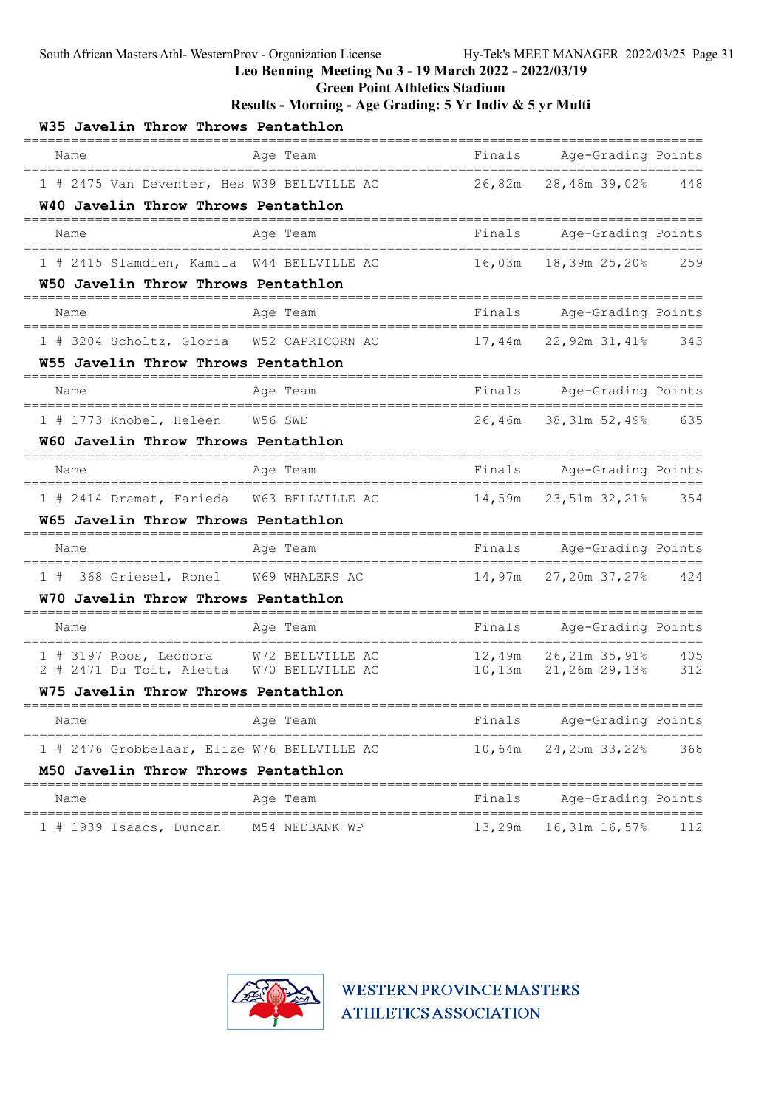Green Point Athletics Stadium

| W35 Javelin Throw Throws Pentathlon         |                       |        |                                             |     |
|---------------------------------------------|-----------------------|--------|---------------------------------------------|-----|
| Name                                        | Age Team              | Finals | Age-Grading Points                          |     |
| 1 # 2475 Van Deventer, Hes W39 BELLVILLE AC |                       | 26,82m | 28,48m 39,02%                               | 448 |
| W40 Javelin Throw Throws Pentathlon         |                       |        |                                             |     |
| Name                                        | Age Team              | Finals | Age-Grading Points                          |     |
| 1 # 2415 Slamdien, Kamila W44 BELLVILLE AC  |                       | 16,03m | 18,39m 25,20%                               | 259 |
| W50 Javelin Throw Throws Pentathlon         |                       |        |                                             |     |
| Name                                        | Age Team              | Finals | Age-Grading Points                          |     |
| 1 # 3204 Scholtz, Gloria W52 CAPRICORN AC   |                       | 17,44m | 22,92m 31,41%                               | 343 |
| W55 Javelin Throw Throws Pentathlon         |                       |        |                                             |     |
| Name                                        | Age Team              | Finals | Age-Grading Points<br>===================== |     |
| 1 # 1773 Knobel, Heleen W56 SWD             |                       | 26,46m | 38,31m 52,49% 635                           |     |
| W60 Javelin Throw Throws Pentathlon         |                       |        |                                             |     |
| Name                                        | Age Team              | Finals | Age-Grading Points<br>===================== |     |
| 1 # 2414 Dramat, Farieda W63 BELLVILLE AC   |                       | 14,59m | 23,51m 32,21% 354                           |     |
| <b>W65 Javelin Throw Throws Pentathlon</b>  |                       |        |                                             |     |
| Name                                        | Age Team              | Finals | Age-Grading Points                          |     |
| 1 # 368 Griesel, Ronel W69 WHALERS AC       |                       | 14,97m | 27,20m 37,27% 424                           |     |
| W70 Javelin Throw Throws Pentathlon         |                       |        |                                             |     |
| Name                                        | Age Team              | Finals | Age-Grading Points<br>======<br>=======     |     |
| 1 # 3197 Roos, Leonora W72 BELLVILLE AC     |                       |        | 12,49m 26,21m 35,91%                        | 405 |
| 2 # 2471 Du Toit, Aletta W70 BELLVILLE AC   |                       |        | $10,13m$ $21,26m$ $29,138$                  | 312 |
| W75 Javelin Throw Throws Pentathlon         |                       |        |                                             |     |
| Name                                        | Age Team              | Finals | Age-Grading Points                          |     |
| 1 # 2476 Grobbelaar, Elize W76 BELLVILLE AC |                       | 10,64m | 24,25m 33,22%                               | 368 |
| M50 Javelin Throw Throws Pentathlon         | ===================== |        | ======================================      |     |
| Name                                        | Age Team              | Finals | Age-Grading Points                          |     |
| $1$ # 1939 Isaacs, Duncan                   | M54 NEDBANK WP        | 13,29m | 16,31m 16,57%                               | 112 |

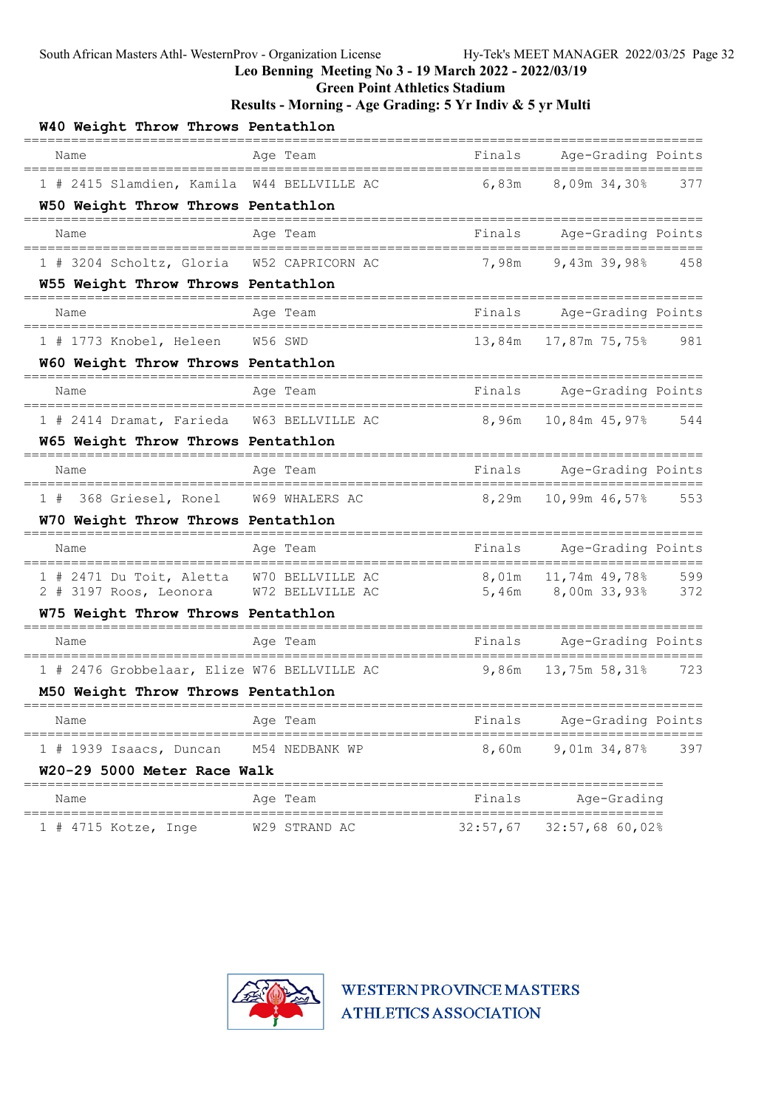Green Point Athletics Stadium

### Results - Morning - Age Grading: 5 Yr Indiv & 5 yr Multi

| W40 Weight Throw Throws Pentathlon                          |                  |          |                                              |     |
|-------------------------------------------------------------|------------------|----------|----------------------------------------------|-----|
| Name                                                        | Age Team         | Finals   | Age-Grading Points                           |     |
| 1 # 2415 Slamdien, Kamila W44 BELLVILLE AC                  |                  | 6,83m    | 8,09m 34,30%                                 | 377 |
| W50 Weight Throw Throws Pentathlon                          |                  |          |                                              |     |
| Name                                                        | Age Team         | Finals   | Age-Grading Points                           |     |
| 1 # 3204 Scholtz, Gloria                                    | W52 CAPRICORN AC | 7,98m    | 9,43m 39,98%                                 | 458 |
| W55 Weight Throw Throws Pentathlon                          |                  |          |                                              |     |
| Name                                                        | Age Team         | Finals   | Age-Grading Points                           |     |
| 1 # 1773 Knobel, Heleen                                     | W56 SWD          | 13,84m   | 17,87m 75,75%                                | 981 |
| W60 Weight Throw Throws Pentathlon                          |                  |          |                                              |     |
| Name                                                        | Age Team         | Finals   | Age-Grading Points<br>=====================  |     |
| 1 # 2414 Dramat, Farieda                                    | W63 BELLVILLE AC | 8,96m    | 10,84m 45,97%                                | 544 |
| W65 Weight Throw Throws Pentathlon                          |                  |          |                                              |     |
| Name                                                        | Age Team         | Finals   | Age-Grading Points<br>______________________ |     |
| 368 Griesel, Ronel W69 WHALERS AC<br>1#                     |                  | 8,29m    | 10,99m 46,57%                                | 553 |
| W70 Weight Throw Throws Pentathlon                          |                  |          |                                              |     |
| Name                                                        | Age Team         | Finals   | Age-Grading Points                           |     |
| 1 # 2471 Du Toit, Aletta                                    | W70 BELLVILLE AC | 8,01m    | 11,74m 49,78%                                | 599 |
| 2 # 3197 Roos, Leonora W72 BELLVILLE AC                     |                  | 5,46m    | 8,00m 33,93% 372                             |     |
| W75 Weight Throw Throws Pentathlon                          |                  |          |                                              |     |
| Name                                                        | Age Team         | Finals   | Age-Grading Points                           |     |
| 1 # 2476 Grobbelaar, Elize W76 BELLVILLE AC                 |                  | 9,86m    | 13,75m 58,31%                                | 723 |
| M50 Weight Throw Throws Pentathlon                          |                  |          |                                              |     |
| Name                                                        | Age Team         | Finals   | Age-Grading Points                           |     |
| $1$ # 1939 Isaacs, Duncan                                   | M54 NEDBANK WP   | 8,60m    | 9,01m 34,87%                                 | 397 |
| W20-29 5000 Meter Race Walk                                 |                  |          | ----------------                             |     |
| Name                                                        | Age Team         | Finals   | Age-Grading                                  |     |
| =================================<br>$1$ # 4715 Kotze, Inge | W29 STRAND AC    | 32:57,67 | $32:57,68$ 60,02%                            |     |

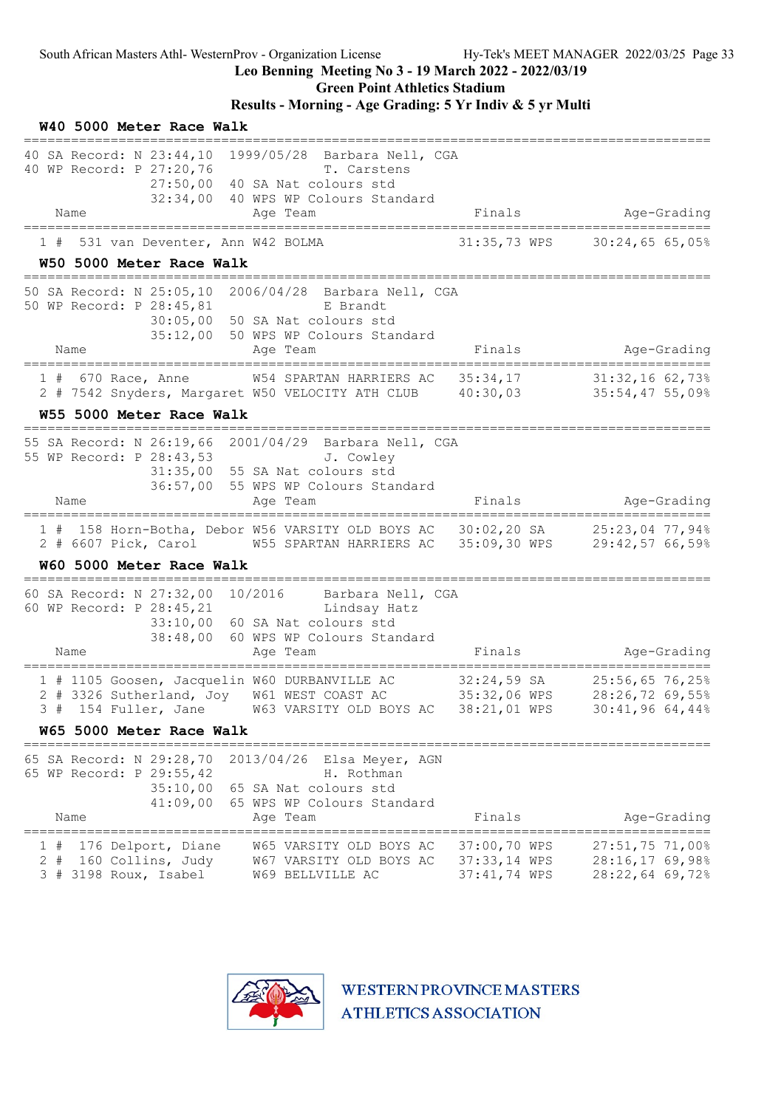W40 5000 Meter Race Walk

### Leo Benning Meeting No 3 - 19 March 2022 - 2022/03/19

Green Point Athletics Stadium

| 40 WP Record: P 27:20,76                                                               |                                 | 40 SA Record: N 23:44,10 1999/05/28 Barbara Nell, CGA<br>T. Carstens<br>27:50,00 40 SA Nat colours std<br>32:34,00 40 WPS WP Colours Standard                                     |                                              |                                                         |
|----------------------------------------------------------------------------------------|---------------------------------|-----------------------------------------------------------------------------------------------------------------------------------------------------------------------------------|----------------------------------------------|---------------------------------------------------------|
| Name<br>===============                                                                |                                 | Age Team                                                                                                                                                                          | Finals                                       | Age-Grading                                             |
|                                                                                        | 531 van Deventer, Ann W42 BOLMA |                                                                                                                                                                                   | 31:35,73 WPS                                 | 30:24,6565,05                                           |
| W50 5000 Meter Race Walk<br>============================                               |                                 |                                                                                                                                                                                   |                                              |                                                         |
| 50 WP Record: P 28:45,81<br>Name                                                       |                                 | 50 SA Record: N 25:05,10 2006/04/28 Barbara Nell, CGA<br>E Brandt<br>30:05,00 50 SA Nat colours std<br>35:12,00 50 WPS WP Colours Standard<br>Age Team                            | Finals                                       | Age-Grading                                             |
| $1$ # 670 Race, Anne                                                                   |                                 | W54 SPARTAN HARRIERS AC 35:34,17                                                                                                                                                  |                                              | =======================<br>31:32,16 62,73%              |
|                                                                                        |                                 | 2 # 7542 Snyders, Margaret W50 VELOCITY ATH CLUB 40:30,03 35:54,47 55,09%                                                                                                         |                                              |                                                         |
| W55 5000 Meter Race Walk                                                               |                                 |                                                                                                                                                                                   |                                              |                                                         |
| 55 WP Record: P 28:43,53                                                               |                                 | 55 SA Record: N 26:19,66 2001/04/29 Barbara Nell, CGA<br>J. Cowley<br>31:35,00 55 SA Nat colours std<br>36:57,00 55 WPS WP Colours Standard                                       |                                              |                                                         |
| Name                                                                                   |                                 | Age Team                                                                                                                                                                          | Finals                                       | Age-Grading                                             |
|                                                                                        |                                 | 1 # 158 Horn-Botha, Debor W56 VARSITY OLD BOYS AC 30:02,20 SA 25:23,04 77,94%<br>2 # 6607 Pick, Carol M55 SPARTAN HARRIERS AC 35:09,30 WPS 29:42,57 66,59%                        |                                              |                                                         |
| W60 5000 Meter Race Walk                                                               |                                 |                                                                                                                                                                                   |                                              |                                                         |
| 60 WP Record: P 28:45,21<br>Name                                                       | 38:48,00                        | 60 SA Record: N 27:32,00 10/2016 Barbara Nell, CGA<br>Lindsay Hatz<br>33:10,00 60 SA Nat colours std<br>60 WPS WP Colours Standard<br>Age Team                                    | Finals                                       | Age-Grading<br>=======================                  |
|                                                                                        |                                 | 1 # 1105 Goosen, Jacquelin W60 DURBANVILLE AC 32:24,59 SA<br>2 # 3326 Sutherland, Joy W61 WEST COAST AC 35:32,06 WPS<br>3 # 154 Fuller, Jane W63 VARSITY OLD BOYS AC 38:21,01 WPS |                                              | 25:56,65 76,25%<br>28:26,72 69,55%<br>30:41,9664,44%    |
| W65 5000 Meter Race Walk                                                               |                                 |                                                                                                                                                                                   |                                              |                                                         |
| 65 SA Record: N 29:28,70<br>65 WP Record: P 29:55,42<br>Name<br>====================== | 35:10,00<br>41:09,00            | 2013/04/26 Elsa Meyer, AGN<br>H. Rothman<br>65 SA Nat colours std<br>65 WPS WP Colours Standard<br>Age Team<br>=================                                                  | Finals                                       | Age-Grading<br>====================================     |
| 176 Delport, Diane<br>1#<br>$2 +$<br>160 Collins, Judy<br>$3$ # 3198 Roux, Isabel      |                                 | W65 VARSITY OLD BOYS AC<br>W67 VARSITY OLD BOYS AC<br>W69 BELLVILLE AC                                                                                                            | 37:00,70 WPS<br>37:33,14 WPS<br>37:41,74 WPS | $27:51,75$ 71,00%<br>28:16,17 69,98%<br>28:22,64 69,72% |

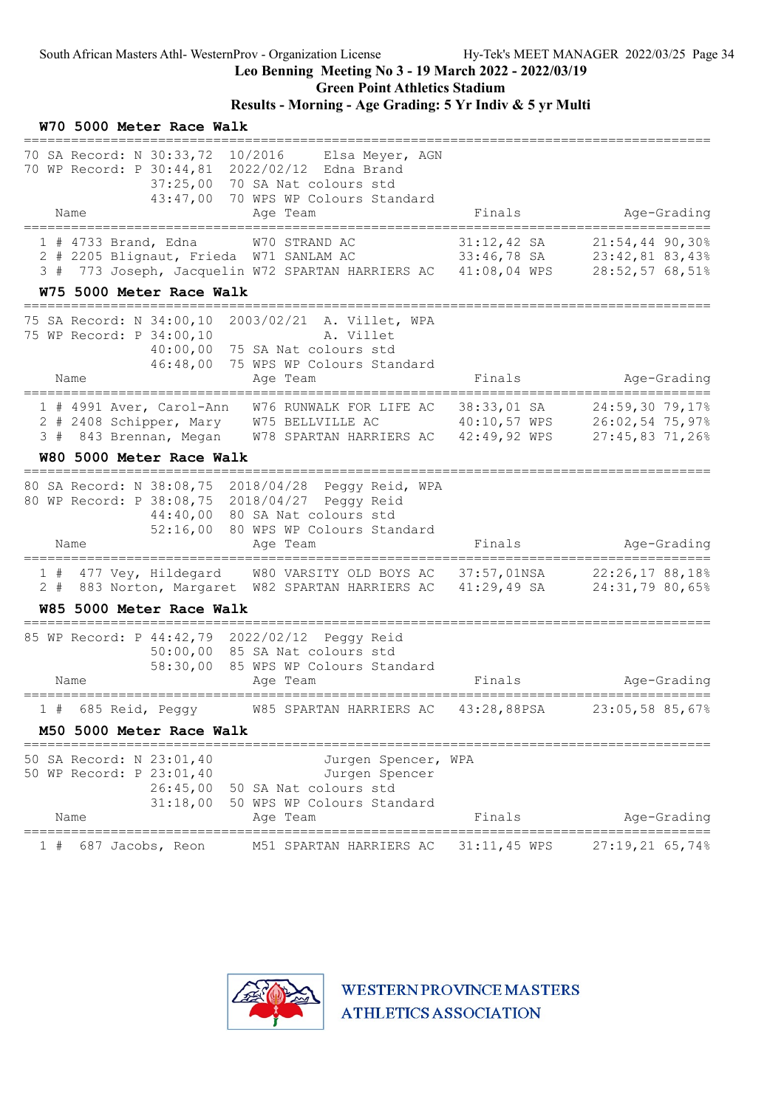Green Point Athletics Stadium

## Results - Morning - Age Grading: 5 Yr Indiv & 5 yr Multi

| W70 5000 Meter Race Walk<br>============================                                                                                                                                             |                                                                                                          |                                            |                                    |
|------------------------------------------------------------------------------------------------------------------------------------------------------------------------------------------------------|----------------------------------------------------------------------------------------------------------|--------------------------------------------|------------------------------------|
| 70 SA Record: N 30:33,72 10/2016 Elsa Meyer, AGN<br>70 WP Record: P 30:44,81 2022/02/12 Edna Brand<br>43:47,00<br>Name                                                                               | 37:25,00 70 SA Nat colours std<br>70 WPS WP Colours Standard<br>Age Team                                 | Finals                                     | Age-Grading                        |
|                                                                                                                                                                                                      |                                                                                                          |                                            |                                    |
| 1 # 4733 Brand, Edna W70 STRAND AC<br>2 # 2205 Blignaut, Frieda W71 SANLAM AC 33:46,78 SA 23:42,81 83,43%<br>3 # 773 Joseph, Jacquelin W72 SPARTAN HARRIERS AC 41:08,04 WPS                          |                                                                                                          | $31:12,42$ SA                              | 21:54,44 90,30%<br>28:52,57 68,51% |
| W75 5000 Meter Race Walk                                                                                                                                                                             |                                                                                                          |                                            |                                    |
| 75 SA Record: N 34:00,10 2003/02/21 A. Villet, WPA<br>75 WP Record: P 34:00,10<br>46:48,00<br>Name                                                                                                   | A. Villet<br>40:00,00 75 SA Nat colours std<br>75 WPS WP Colours Standard<br>Age Team                    | Finals                                     | Age-Grading                        |
| 1 # 4991 Aver, Carol-Ann W76 RUNWALK FOR LIFE AC 38:33,01 SA<br>2 # 2408 Schipper, Mary W75 BELLVILLE AC 40:10,57 WPS 26:02,54 75,97%<br>3 # 843 Brennan, Megan W78 SPARTAN HARRIERS AC 42:49,92 WPS |                                                                                                          |                                            | 24:59,30 79,17%<br>27:45,83 71,26% |
| W80 5000 Meter Race Walk<br>========================                                                                                                                                                 |                                                                                                          |                                            |                                    |
| 80 SA Record: N 38:08,75 2018/04/28 Peggy Reid, WPA<br>80 WP Record: P 38:08,75 2018/04/27 Peggy Reid                                                                                                | 44:40,00 80 SA Nat colours std<br>52:16,00 80 WPS WP Colours Standard                                    |                                            |                                    |
| Name<br>===============                                                                                                                                                                              | Age Team<br>===================================                                                          | Finals                                     | Age-Grading                        |
| 1 # 477 Vey, Hildegard W80 VARSITY OLD BOYS AC 37:57,01NSA 22:26,17 88,18%<br>2 # 883 Norton, Margaret W82 SPARTAN HARRIERS AC 41:29,49 SA                                                           |                                                                                                          |                                            | 24:31,79 80,65%                    |
| W85 5000 Meter Race Walk<br>--------------------------------                                                                                                                                         |                                                                                                          |                                            |                                    |
| 85 WP Record: P 44:42,79 2022/02/12 Peggy Reid<br>Name                                                                                                                                               | 50:00,00 85 SA Nat colours std<br>58:30,00 85 WPS WP Colours Standard<br>Age Team                        | Finals                                     | Age-Grading                        |
| 1 # 685 Reid, Peggy                                                                                                                                                                                  | W85 SPARTAN HARRIERS AC 43:28,88PSA                                                                      |                                            | 23:05,58 85,67%                    |
| M50 5000 Meter Race Walk                                                                                                                                                                             |                                                                                                          |                                            |                                    |
| 50 SA Record: N 23:01,40<br>50 WP Record: P 23:01,40<br>26:45,00<br>31:18,00<br>Name                                                                                                                 | Jurgen Spencer, WPA<br>Jurgen Spencer<br>50 SA Nat colours std<br>50 WPS WP Colours Standard<br>Age Team | Finals                                     | Age-Grading                        |
| =============<br>687 Jacobs, Reon                                                                                                                                                                    | ===========<br>M51 SPARTAN HARRIERS AC                                                                   | ==========================<br>31:11,45 WPS | 27:19,21 65,74%                    |
|                                                                                                                                                                                                      |                                                                                                          |                                            |                                    |